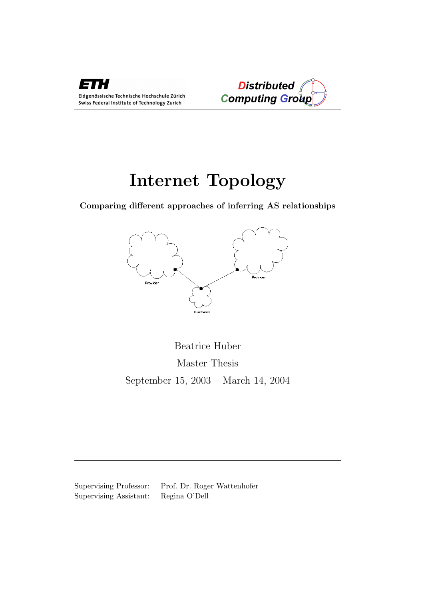



# Internet Topology

Comparing different approaches of inferring AS relationships



Beatrice Huber Master Thesis September 15, 2003 – March 14, 2004

Supervising Professor: Prof. Dr. Roger Wattenhofer Supervising Assistant: Regina O'Dell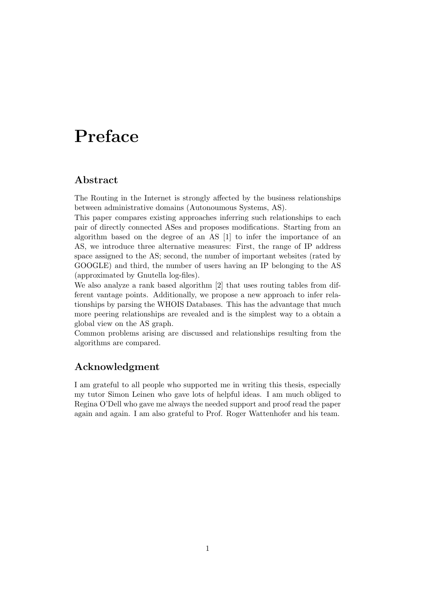# Preface

### Abstract

The Routing in the Internet is strongly affected by the business relationships between administrative domains (Autonoumous Systems, AS).

This paper compares existing approaches inferring such relationships to each pair of directly connected ASes and proposes modifications. Starting from an algorithm based on the degree of an AS [1] to infer the importance of an AS, we introduce three alternative measures: First, the range of IP address space assigned to the AS; second, the number of important websites (rated by GOOGLE) and third, the number of users having an IP belonging to the AS (approximated by Gnutella log-files).

We also analyze a rank based algorithm [2] that uses routing tables from different vantage points. Additionally, we propose a new approach to infer relationships by parsing the WHOIS Databases. This has the advantage that much more peering relationships are revealed and is the simplest way to a obtain a global view on the AS graph.

Common problems arising are discussed and relationships resulting from the algorithms are compared.

## Acknowledgment

I am grateful to all people who supported me in writing this thesis, especially my tutor Simon Leinen who gave lots of helpful ideas. I am much obliged to Regina O'Dell who gave me always the needed support and proof read the paper again and again. I am also grateful to Prof. Roger Wattenhofer and his team.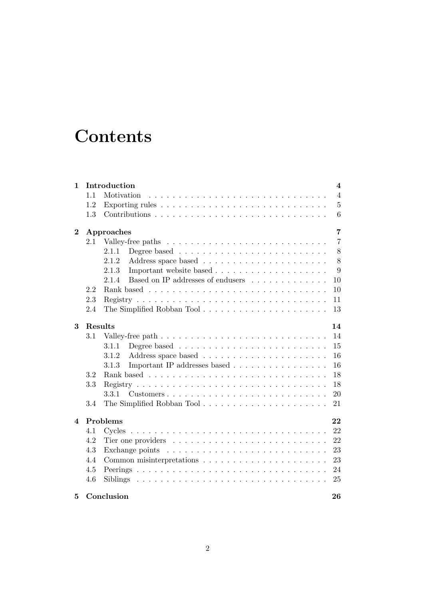# **Contents**

| 1        | Introduction<br>$\overline{\mathbf{4}}$ |                                                                                                     |                |  |  |
|----------|-----------------------------------------|-----------------------------------------------------------------------------------------------------|----------------|--|--|
|          | 1.1                                     | Motivation                                                                                          | $\overline{4}$ |  |  |
|          | 1.2                                     |                                                                                                     | $\overline{5}$ |  |  |
|          | 1.3                                     |                                                                                                     | 6              |  |  |
| $\bf{2}$ |                                         | Approaches                                                                                          | $\overline{7}$ |  |  |
|          | 2.1                                     |                                                                                                     | $\overline{7}$ |  |  |
|          |                                         | 2.1.1                                                                                               | 8              |  |  |
|          |                                         | 2.1.2                                                                                               | 8              |  |  |
|          |                                         | 2.1.3                                                                                               | 9              |  |  |
|          |                                         | Based on IP addresses of endusers<br>2.1.4                                                          | 10             |  |  |
|          | 2.2                                     |                                                                                                     | 10             |  |  |
|          | 2.3                                     |                                                                                                     | 11             |  |  |
|          | 2.4                                     |                                                                                                     | 13             |  |  |
| 3        |                                         | Results                                                                                             | 14             |  |  |
|          | 3.1                                     |                                                                                                     | 14             |  |  |
|          |                                         | 3.1.1                                                                                               | 15             |  |  |
|          |                                         | 3.1.2                                                                                               | 16             |  |  |
|          |                                         | Important IP addresses based<br>3.1.3                                                               | 16             |  |  |
|          | 3.2                                     |                                                                                                     | 18             |  |  |
|          | 3.3                                     |                                                                                                     | 18             |  |  |
|          |                                         | 3.3.1<br>$\text{Customers}\ldots\ldots\ldots\ldots\ldots\ldots\ldots\ldots\ldots\ldots\ldots\ldots$ | 20             |  |  |
|          | 3.4                                     |                                                                                                     | 21             |  |  |
| 4        | Problems                                |                                                                                                     |                |  |  |
|          | 4.1                                     |                                                                                                     | 22             |  |  |
|          | 4.2                                     | Tier one providers $\dots \dots \dots \dots \dots \dots \dots \dots \dots$                          | 22             |  |  |
|          | 4.3                                     |                                                                                                     | 23             |  |  |
|          | 4.4                                     |                                                                                                     | 23             |  |  |
|          | 4.5                                     |                                                                                                     | 24             |  |  |
|          | 4.6                                     |                                                                                                     | 25             |  |  |
| 5        |                                         | Conclusion                                                                                          | 26             |  |  |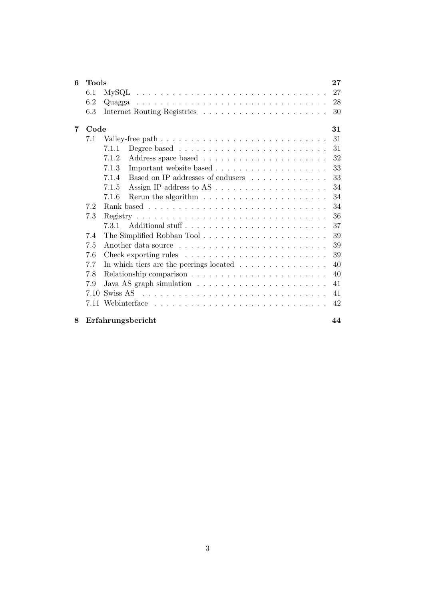| 6 | <b>Tools</b> |                                                                                 | $27\,$ |
|---|--------------|---------------------------------------------------------------------------------|--------|
|   | 6.1          | $\text{MySQL}$                                                                  | 27     |
|   | 6.2          |                                                                                 | 28     |
|   | 6.3          |                                                                                 | 30     |
| 7 | Code         |                                                                                 | 31     |
|   | 7.1          |                                                                                 | 31     |
|   |              | 7.1.1                                                                           | 31     |
|   |              | 7.1.2                                                                           | 32     |
|   |              | 7.1.3                                                                           | 33     |
|   |              | Based on IP addresses of endusers<br>7.1.4                                      | 33     |
|   |              | 7.1.5                                                                           | 34     |
|   |              | Rerun the algorithm $\ldots \ldots \ldots \ldots \ldots \ldots \ldots$<br>7.1.6 | 34     |
|   | 7.2          |                                                                                 | 34     |
|   | 7.3          |                                                                                 | 36     |
|   |              | Additional stuff<br>7.3.1                                                       | 37     |
|   | 7.4          | The Simplified Robban Tool                                                      | 39     |
|   | 7.5          |                                                                                 | 39     |
|   | 7.6          | Check exporting rules $\ldots \ldots \ldots \ldots \ldots \ldots \ldots \ldots$ | 39     |
|   | 7.7          | In which tiers are the peerings located $\ldots \ldots \ldots \ldots \ldots$    | 40     |
|   | 7.8          |                                                                                 | 40     |
|   | 7.9          | Java AS graph simulation $\ldots \ldots \ldots \ldots \ldots \ldots \ldots$     | 41     |
|   | 7.10         |                                                                                 | 41     |
|   | 7.11         |                                                                                 | 42     |
| 8 |              | Erfahrungsbericht                                                               | 44     |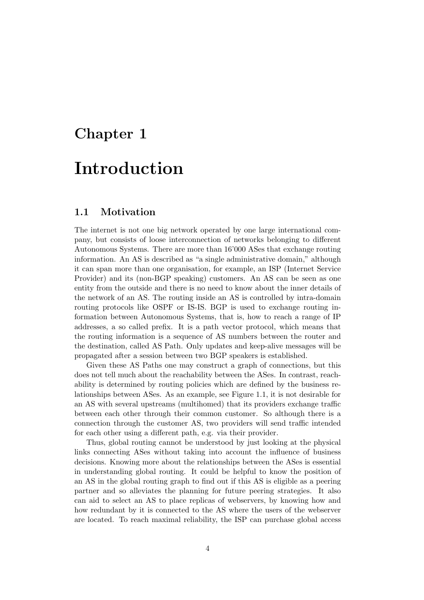# Chapter 1

# Introduction

### 1.1 Motivation

The internet is not one big network operated by one large international company, but consists of loose interconnection of networks belonging to different Autonomous Systems. There are more than 16'000 ASes that exchange routing information. An AS is described as "a single administrative domain," although it can span more than one organisation, for example, an ISP (Internet Service Provider) and its (non-BGP speaking) customers. An AS can be seen as one entity from the outside and there is no need to know about the inner details of the network of an AS. The routing inside an AS is controlled by intra-domain routing protocols like OSPF or IS-IS. BGP is used to exchange routing information between Autonomous Systems, that is, how to reach a range of IP addresses, a so called prefix. It is a path vector protocol, which means that the routing information is a sequence of AS numbers between the router and the destination, called AS Path. Only updates and keep-alive messages will be propagated after a session between two BGP speakers is established.

Given these AS Paths one may construct a graph of connections, but this does not tell much about the reachability between the ASes. In contrast, reachability is determined by routing policies which are defined by the business relationships between ASes. As an example, see Figure 1.1, it is not desirable for an AS with several upstreams (multihomed) that its providers exchange traffic between each other through their common customer. So although there is a connection through the customer AS, two providers will send traffic intended for each other using a different path, e.g. via their provider.

Thus, global routing cannot be understood by just looking at the physical links connecting ASes without taking into account the influence of business decisions. Knowing more about the relationships between the ASes is essential in understanding global routing. It could be helpful to know the position of an AS in the global routing graph to find out if this AS is eligible as a peering partner and so alleviates the planning for future peering strategies. It also can aid to select an AS to place replicas of webservers, by knowing how and how redundant by it is connected to the AS where the users of the webserver are located. To reach maximal reliability, the ISP can purchase global access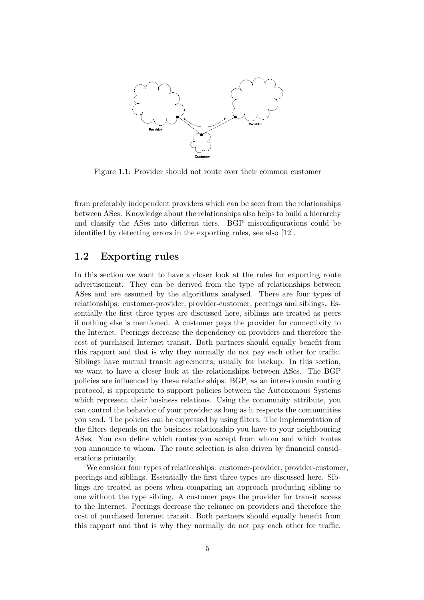

Figure 1.1: Provider should not route over their common customer

from preferably independent providers which can be seen from the relationships between ASes. Knowledge about the relationships also helps to build a hierarchy and classify the ASes into different tiers. BGP misconfigurations could be identified by detecting errors in the exporting rules, see also [12].

#### 1.2 Exporting rules

In this section we want to have a closer look at the rules for exporting route advertisement. They can be derived from the type of relationships between ASes and are assumed by the algorithms analysed. There are four types of relationships: customer-provider, provider-customer, peerings and siblings. Essentially the first three types are discussed here, siblings are treated as peers if nothing else is mentioned. A customer pays the provider for connectivity to the Internet. Peerings decrease the dependency on providers and therefore the cost of purchased Internet transit. Both partners should equally benefit from this rapport and that is why they normally do not pay each other for traffic. Siblings have mutual transit agreements, usually for backup. In this section, we want to have a closer look at the relationships between ASes. The BGP policies are influenced by these relationships. BGP, as an inter-domain routing protocol, is appropriate to support policies between the Autonomous Systems which represent their business relations. Using the community attribute, you can control the behavior of your provider as long as it respects the communities you send. The policies can be expressed by using filters. The implementation of the filters depends on the business relationship you have to your neighbouring ASes. You can define which routes you accept from whom and which routes you announce to whom. The route selection is also driven by financial considerations primarily.

We consider four types of relationships: customer-provider, provider-customer, peerings and siblings. Essentially the first three types are discussed here. Siblings are treated as peers when comparing an approach producing sibling to one without the type sibling. A customer pays the provider for transit access to the Internet. Peerings decrease the reliance on providers and therefore the cost of purchased Internet transit. Both partners should equally benefit from this rapport and that is why they normally do not pay each other for traffic.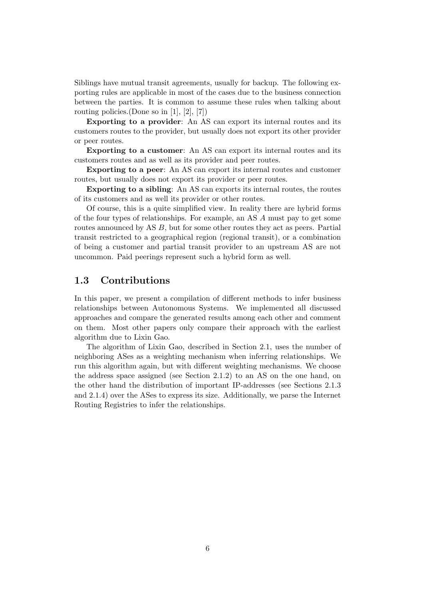Siblings have mutual transit agreements, usually for backup. The following exporting rules are applicable in most of the cases due to the business connection between the parties. It is common to assume these rules when talking about routing policies.(Done so in [1], [2], [7])

Exporting to a provider: An AS can export its internal routes and its customers routes to the provider, but usually does not export its other provider or peer routes.

Exporting to a customer: An AS can export its internal routes and its customers routes and as well as its provider and peer routes.

Exporting to a peer: An AS can export its internal routes and customer routes, but usually does not export its provider or peer routes.

Exporting to a sibling: An AS can exports its internal routes, the routes of its customers and as well its provider or other routes.

Of course, this is a quite simplified view. In reality there are hybrid forms of the four types of relationships. For example, an AS A must pay to get some routes announced by AS B, but for some other routes they act as peers. Partial transit restricted to a geographical region (regional transit), or a combination of being a customer and partial transit provider to an upstream AS are not uncommon. Paid peerings represent such a hybrid form as well.

# 1.3 Contributions

In this paper, we present a compilation of different methods to infer business relationships between Autonomous Systems. We implemented all discussed approaches and compare the generated results among each other and comment on them. Most other papers only compare their approach with the earliest algorithm due to Lixin Gao.

The algorithm of Lixin Gao, described in Section 2.1, uses the number of neighboring ASes as a weighting mechanism when inferring relationships. We run this algorithm again, but with different weighting mechanisms. We choose the address space assigned (see Section 2.1.2) to an AS on the one hand, on the other hand the distribution of important IP-addresses (see Sections 2.1.3 and 2.1.4) over the ASes to express its size. Additionally, we parse the Internet Routing Registries to infer the relationships.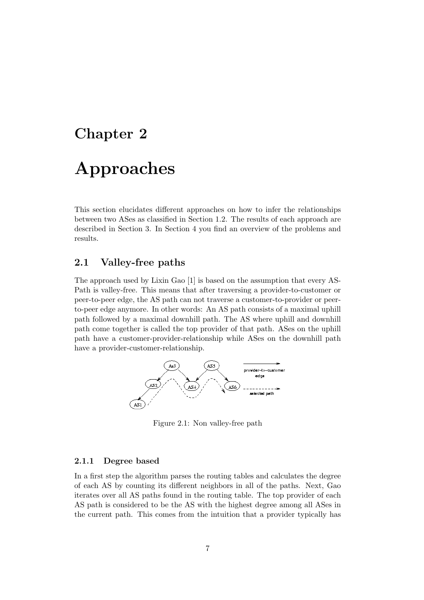# Chapter 2

# Approaches

This section elucidates different approaches on how to infer the relationships between two ASes as classified in Section 1.2. The results of each approach are described in Section 3. In Section 4 you find an overview of the problems and results.

# 2.1 Valley-free paths

The approach used by Lixin Gao [1] is based on the assumption that every AS-Path is valley-free. This means that after traversing a provider-to-customer or peer-to-peer edge, the AS path can not traverse a customer-to-provider or peerto-peer edge anymore. In other words: An AS path consists of a maximal uphill path followed by a maximal downhill path. The AS where uphill and downhill path come together is called the top provider of that path. ASes on the uphill path have a customer-provider-relationship while ASes on the downhill path have a provider-customer-relationship.



Figure 2.1: Non valley-free path

#### 2.1.1 Degree based

In a first step the algorithm parses the routing tables and calculates the degree of each AS by counting its different neighbors in all of the paths. Next, Gao iterates over all AS paths found in the routing table. The top provider of each AS path is considered to be the AS with the highest degree among all ASes in the current path. This comes from the intuition that a provider typically has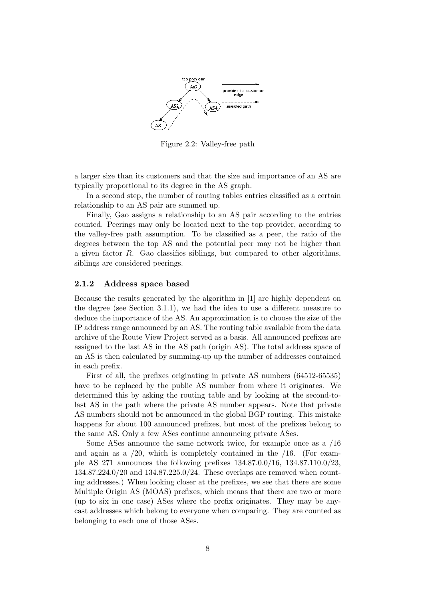

Figure 2.2: Valley-free path

a larger size than its customers and that the size and importance of an AS are typically proportional to its degree in the AS graph.

In a second step, the number of routing tables entries classified as a certain relationship to an AS pair are summed up.

Finally, Gao assigns a relationship to an AS pair according to the entries counted. Peerings may only be located next to the top provider, according to the valley-free path assumption. To be classified as a peer, the ratio of the degrees between the top AS and the potential peer may not be higher than a given factor R. Gao classifies siblings, but compared to other algorithms, siblings are considered peerings.

#### 2.1.2 Address space based

Because the results generated by the algorithm in [1] are highly dependent on the degree (see Section 3.1.1), we had the idea to use a different measure to deduce the importance of the AS. An approximation is to choose the size of the IP address range announced by an AS. The routing table available from the data archive of the Route View Project served as a basis. All announced prefixes are assigned to the last AS in the AS path (origin AS). The total address space of an AS is then calculated by summing-up up the number of addresses contained in each prefix.

First of all, the prefixes originating in private AS numbers (64512-65535) have to be replaced by the public AS number from where it originates. We determined this by asking the routing table and by looking at the second-tolast AS in the path where the private AS number appears. Note that private AS numbers should not be announced in the global BGP routing. This mistake happens for about 100 announced prefixes, but most of the prefixes belong to the same AS. Only a few ASes continue announcing private ASes.

Some ASes announce the same network twice, for example once as a /16 and again as a  $/20$ , which is completely contained in the  $/16$ . (For example AS 271 announces the following prefixes 134.87.0.0/16, 134.87.110.0/23, 134.87.224.0/20 and 134.87.225.0/24. These overlaps are removed when counting addresses.) When looking closer at the prefixes, we see that there are some Multiple Origin AS (MOAS) prefixes, which means that there are two or more (up to six in one case) ASes where the prefix originates. They may be anycast addresses which belong to everyone when comparing. They are counted as belonging to each one of those ASes.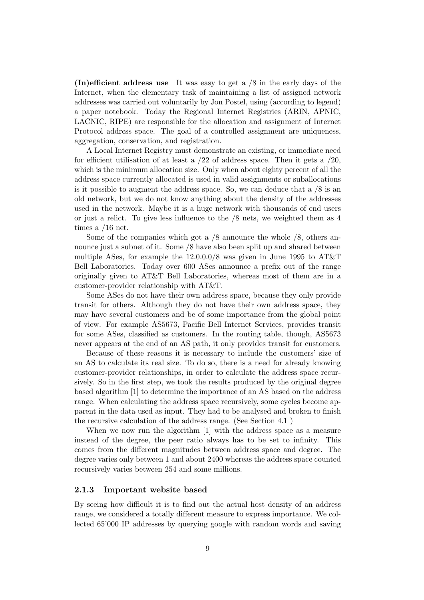**(In)efficient address use** It was easy to get a  $/8$  in the early days of the Internet, when the elementary task of maintaining a list of assigned network addresses was carried out voluntarily by Jon Postel, using (according to legend) a paper notebook. Today the Regional Internet Registries (ARIN, APNIC, LACNIC, RIPE) are responsible for the allocation and assignment of Internet Protocol address space. The goal of a controlled assignment are uniqueness, aggregation, conservation, and registration.

A Local Internet Registry must demonstrate an existing, or immediate need for efficient utilisation of at least a  $/22$  of address space. Then it gets a  $/20$ , which is the minimum allocation size. Only when about eighty percent of all the address space currently allocated is used in valid assignments or suballocations is it possible to augment the address space. So, we can deduce that a  $/8$  is an old network, but we do not know anything about the density of the addresses used in the network. Maybe it is a huge network with thousands of end users or just a relict. To give less influence to the /8 nets, we weighted them as 4 times a /16 net.

Some of the companies which got a /8 announce the whole /8, others announce just a subnet of it. Some /8 have also been split up and shared between multiple ASes, for example the 12.0.0.0/8 was given in June 1995 to AT&T Bell Laboratories. Today over 600 ASes announce a prefix out of the range originally given to AT&T Bell Laboratories, whereas most of them are in a customer-provider relationship with AT&T.

Some ASes do not have their own address space, because they only provide transit for others. Although they do not have their own address space, they may have several customers and be of some importance from the global point of view. For example AS5673, Pacific Bell Internet Services, provides transit for some ASes, classified as customers. In the routing table, though, AS5673 never appears at the end of an AS path, it only provides transit for customers.

Because of these reasons it is necessary to include the customers' size of an AS to calculate its real size. To do so, there is a need for already knowing customer-provider relationships, in order to calculate the address space recursively. So in the first step, we took the results produced by the original degree based algorithm [1] to determine the importance of an AS based on the address range. When calculating the address space recursively, some cycles become apparent in the data used as input. They had to be analysed and broken to finish the recursive calculation of the address range. (See Section 4.1 )

When we now run the algorithm [1] with the address space as a measure instead of the degree, the peer ratio always has to be set to infinity. This comes from the different magnitudes between address space and degree. The degree varies only between 1 and about 2400 whereas the address space counted recursively varies between 254 and some millions.

#### 2.1.3 Important website based

By seeing how difficult it is to find out the actual host density of an address range, we considered a totally different measure to express importance. We collected 65'000 IP addresses by querying google with random words and saving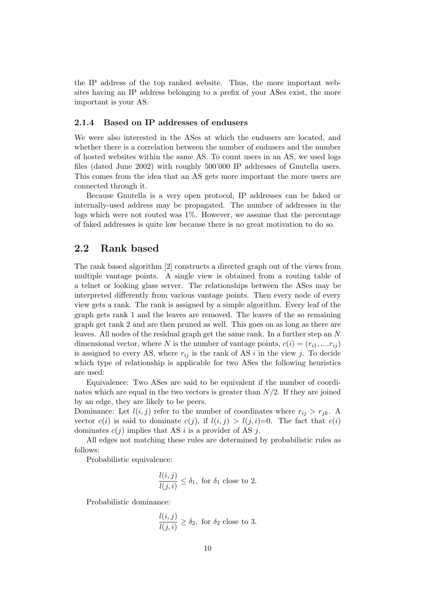the IP address of the top ranked website. Thus, the more important websites having an IP address belonging to a prefix of your ASes exist, the more important is your AS.

#### 2.1.4 Based on IP addresses of endusers

We were also interested in the ASes at which the endusers are located, and whether there is a correlation between the number of endusers and the number of hosted websites within the same AS. To count users in an AS, we used logs files (dated June 2002) with roughly 500'000 IP addresses of Gnutella users. This comes from the idea that an AS gets more important the more users are connected through it.

Because Gnutella is a very open protocol, IP addresses can be faked or internally-used address may be propagated. The number of addresses in the logs which were not routed was  $1\%$ . However, we assume that the percentage of faked addresses is quite low because there is no great motivation to do so.

## 2.2 Rank based

The rank based algorithm [2] constructs a directed graph out of the views from multiple vantage points. A single view is obtained from a routing table of a telnet or looking glass server. The relationships between the ASes may be interpreted differently from various vantage points. Then every node of every view gets a rank. The rank is assigned by a simple algorithm. Every leaf of the graph gets rank 1 and the leaves are removed. The leaves of the so remaining graph get rank 2 and are then pruned as well. This goes on as long as there are leaves. All nodes of the residual graph get the same rank. In a further step an N dimensional vector, where N is the number of vantage points,  $c(i) = (r_{i1}, \ldots, r_{ii})$ is assigned to every AS, where  $r_{ij}$  is the rank of AS i in the view j. To decide which type of relationship is applicable for two ASes the following heuristics are used:

Equivalence: Two ASes are said to be equivalent if the number of coordinates which are equal in the two vectors is greater than  $N/2$ . If they are joined by an edge, they are likely to be peers.

Dominance: Let  $l(i, j)$  refer to the number of coordinates where  $r_{ij} > r_{jk}$ . A vector  $c(i)$  is said to dominate  $c(j)$ , if  $l(i, j) > l(j, i)=0$ . The fact that  $c(i)$ dominates  $c(j)$  implies that AS i is a provider of AS j.

All edges not matching these rules are determined by probabilistic rules as follows:

Probabilistic equivalence:

$$
\frac{l(i,j)}{l(j,i)} \leq \delta_1
$$
, for  $\delta_1$  close to 2.

Probabilistic dominance:

$$
\frac{l(i,j)}{l(j,i)} \ge \delta_2
$$
, for  $\delta_2$  close to 3.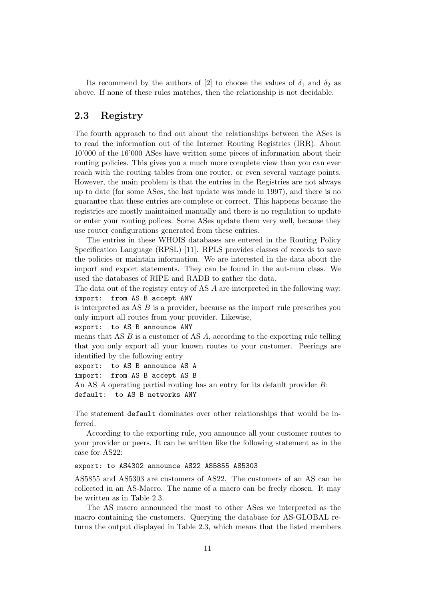Its recommend by the authors of [2] to choose the values of  $\delta_1$  and  $\delta_2$  as above. If none of these rules matches, then the relationship is not decidable.

#### 2.3 Registry

The fourth approach to find out about the relationships between the ASes is to read the information out of the Internet Routing Registries (IRR). About 10'000 of the 16'000 ASes have written some pieces of information about their routing policies. This gives you a much more complete view than you can ever reach with the routing tables from one router, or even several vantage points. However, the main problem is that the entries in the Registries are not always up to date (for some ASes, the last update was made in 1997), and there is no guarantee that these entries are complete or correct. This happens because the registries are mostly maintained manually and there is no regulation to update or enter your routing polices. Some ASes update them very well, because they use router configurations generated from these entries.

The entries in these WHOIS databases are entered in the Routing Policy Specification Language (RPSL) [11]. RPLS provides classes of records to save the policies or maintain information. We are interested in the data about the import and export statements. They can be found in the aut-num class. We used the databases of RIPE and RADB to gather the data.

The data out of the registry entry of AS A are interpreted in the following way: import: from AS B accept ANY

is interpreted as AS B is a provider, because as the import rule prescribes you only import all routes from your provider. Likewise,

```
export: to AS B announce ANY
```
means that AS  $B$  is a customer of AS  $A$ , according to the exporting rule telling that you only export all your known routes to your customer. Peerings are identified by the following entry

```
export: to AS B announce AS A
```
import: from AS B accept AS B

```
An AS A operating partial routing has an entry for its default provider B:
default: to AS B networks ANY
```
The statement default dominates over other relationships that would be inferred.

According to the exporting rule, you announce all your customer routes to your provider or peers. It can be written like the following statement as in the case for AS22:

#### export: to AS4302 announce AS22 AS5855 AS5303

AS5855 and AS5303 are customers of AS22. The customers of an AS can be collected in an AS-Macro. The name of a macro can be freely chosen. It may be written as in Table 2.3.

The AS macro announced the most to other ASes we interpreted as the macro containing the customers. Querying the database for AS-GLOBAL returns the output displayed in Table 2.3, which means that the listed members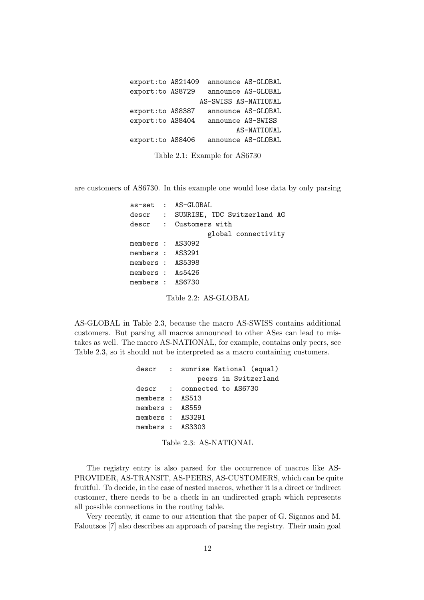export:to AS21409 announce AS-GLOBAL export:to AS8729 announce AS-GLOBAL AS-SWISS AS-NATIONAL export:to AS8387 announce AS-GLOBAL export:to AS8404 announce AS-SWISS AS-NATIONAL export:to AS8406 announce AS-GLOBAL

Table 2.1: Example for AS6730

are customers of AS6730. In this example one would lose data by only parsing

|                  | as-set : AS-GLOBAL                  |
|------------------|-------------------------------------|
|                  | descr : SUNRISE, TDC Switzerland AG |
|                  | descr : Customers with              |
|                  | global connectivity                 |
| members : AS3092 |                                     |
| members : AS3291 |                                     |
| members : AS5398 |                                     |
| members : As5426 |                                     |
| members : AS6730 |                                     |
|                  |                                     |

Table 2.2: AS-GLOBAL

AS-GLOBAL in Table 2.3, because the macro AS-SWISS contains additional customers. But parsing all macros announced to other ASes can lead to mistakes as well. The macro AS-NATIONAL, for example, contains only peers, see Table 2.3, so it should not be interpreted as a macro containing customers.

| descr : sunrise National (equal) |
|----------------------------------|
| peers in Switzerland             |
| descr : connected to AS6730      |
| members : AS513                  |
| members : AS559                  |
| members : AS3291                 |
| members : AS3303                 |
|                                  |

Table 2.3: AS-NATIONAL

The registry entry is also parsed for the occurrence of macros like AS-PROVIDER, AS-TRANSIT, AS-PEERS, AS-CUSTOMERS, which can be quite fruitful. To decide, in the case of nested macros, whether it is a direct or indirect customer, there needs to be a check in an undirected graph which represents all possible connections in the routing table.

Very recently, it came to our attention that the paper of G. Siganos and M. Faloutsos [7] also describes an approach of parsing the registry. Their main goal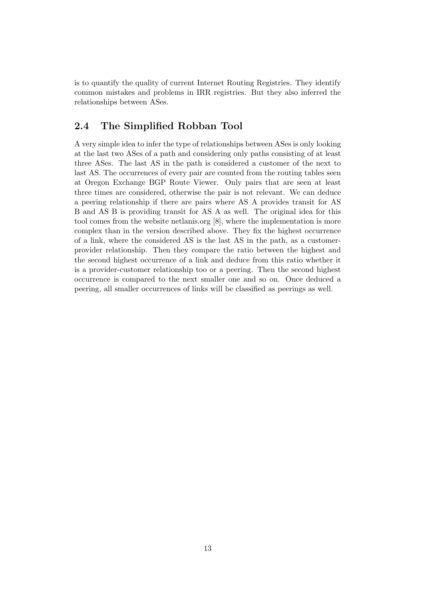is to quantify the quality of current Internet Routing Registries. They identify common mistakes and problems in IRR registries. But they also inferred the relationships between ASes.

# 2.4 The Simplified Robban Tool

A very simple idea to infer the type of relationships between ASes is only looking at the last two ASes of a path and considering only paths consisting of at least three ASes. The last AS in the path is considered a customer of the next to last AS. The occurrences of every pair are counted from the routing tables seen at Oregon Exchange BGP Route Viewer. Only pairs that are seen at least three times are considered, otherwise the pair is not relevant. We can deduce a peering relationship if there are pairs where AS A provides transit for AS B and AS B is providing transit for AS A as well. The original idea for this tool comes from the website netlanis.org [8], where the implementation is more complex than in the version described above. They fix the highest occurrence of a link, where the considered AS is the last AS in the path, as a customerprovider relationship. Then they compare the ratio between the highest and the second highest occurrence of a link and deduce from this ratio whether it is a provider-customer relationship too or a peering. Then the second highest occurrence is compared to the next smaller one and so on. Once deduced a peering, all smaller occurrences of links will be classified as peerings as well.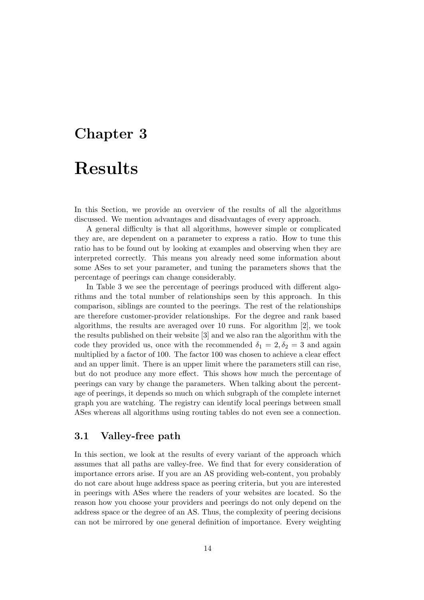# Chapter 3

# Results

In this Section, we provide an overview of the results of all the algorithms discussed. We mention advantages and disadvantages of every approach.

A general difficulty is that all algorithms, however simple or complicated they are, are dependent on a parameter to express a ratio. How to tune this ratio has to be found out by looking at examples and observing when they are interpreted correctly. This means you already need some information about some ASes to set your parameter, and tuning the parameters shows that the percentage of peerings can change considerably.

In Table 3 we see the percentage of peerings produced with different algorithms and the total number of relationships seen by this approach. In this comparison, siblings are counted to the peerings. The rest of the relationships are therefore customer-provider relationships. For the degree and rank based algorithms, the results are averaged over 10 runs. For algorithm [2], we took the results published on their website [3] and we also ran the algorithm with the code they provided us, once with the recommended  $\delta_1 = 2, \delta_2 = 3$  and again multiplied by a factor of 100. The factor 100 was chosen to achieve a clear effect and an upper limit. There is an upper limit where the parameters still can rise, but do not produce any more effect. This shows how much the percentage of peerings can vary by change the parameters. When talking about the percentage of peerings, it depends so much on which subgraph of the complete internet graph you are watching. The registry can identify local peerings between small ASes whereas all algorithms using routing tables do not even see a connection.

## 3.1 Valley-free path

In this section, we look at the results of every variant of the approach which assumes that all paths are valley-free. We find that for every consideration of importance errors arise. If you are an AS providing web-content, you probably do not care about huge address space as peering criteria, but you are interested in peerings with ASes where the readers of your websites are located. So the reason how you choose your providers and peerings do not only depend on the address space or the degree of an AS. Thus, the complexity of peering decisions can not be mirrored by one general definition of importance. Every weighting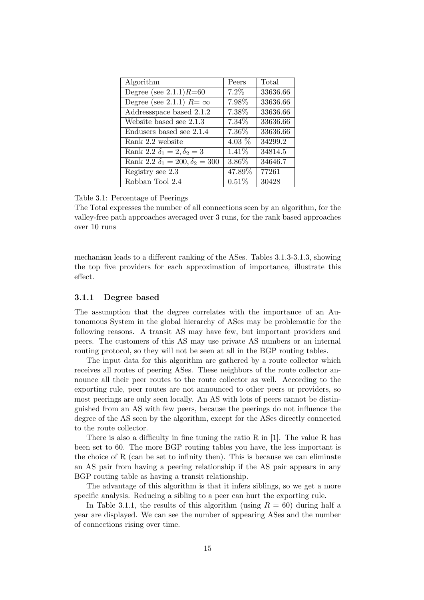| Algorithm                                 | Peers    | Total    |
|-------------------------------------------|----------|----------|
| Degree (see $2.1.1$ ) $R=60$              | 7.2%     | 33636.66 |
| Degree (see 2.1.1) $R = \infty$           | 7.98%    | 33636.66 |
| Addressspace based 2.1.2                  | 7.38%    | 33636.66 |
| Website based see 2.1.3                   | 7.34\%   | 33636.66 |
| Endusers based see 2.1.4                  | 7.36%    | 33636.66 |
| Rank 2.2 website                          | 4.03 $%$ | 34299.2  |
| Rank 2.2 $\delta_1 = 2, \delta_2 = 3$     | 1.41\%   | 34814.5  |
| Rank 2.2 $\delta_1 = 200, \delta_2 = 300$ | 3.86%    | 34646.7  |
| Registry see 2.3                          | 47.89%   | 77261    |
| Robban Tool 2.4                           | 0.51%    | 30428    |

Table 3.1: Percentage of Peerings

The Total expresses the number of all connections seen by an algorithm, for the valley-free path approaches averaged over 3 runs, for the rank based approaches over 10 runs

mechanism leads to a different ranking of the ASes. Tables 3.1.3-3.1.3, showing the top five providers for each approximation of importance, illustrate this effect.

#### 3.1.1 Degree based

The assumption that the degree correlates with the importance of an Autonomous System in the global hierarchy of ASes may be problematic for the following reasons. A transit AS may have few, but important providers and peers. The customers of this AS may use private AS numbers or an internal routing protocol, so they will not be seen at all in the BGP routing tables.

The input data for this algorithm are gathered by a route collector which receives all routes of peering ASes. These neighbors of the route collector announce all their peer routes to the route collector as well. According to the exporting rule, peer routes are not announced to other peers or providers, so most peerings are only seen locally. An AS with lots of peers cannot be distinguished from an AS with few peers, because the peerings do not influence the degree of the AS seen by the algorithm, except for the ASes directly connected to the route collector.

There is also a difficulty in fine tuning the ratio R in [1]. The value R has been set to 60. The more BGP routing tables you have, the less important is the choice of R (can be set to infinity then). This is because we can eliminate an AS pair from having a peering relationship if the AS pair appears in any BGP routing table as having a transit relationship.

The advantage of this algorithm is that it infers siblings, so we get a more specific analysis. Reducing a sibling to a peer can hurt the exporting rule.

In Table 3.1.1, the results of this algorithm (using  $R = 60$ ) during half a year are displayed. We can see the number of appearing ASes and the number of connections rising over time.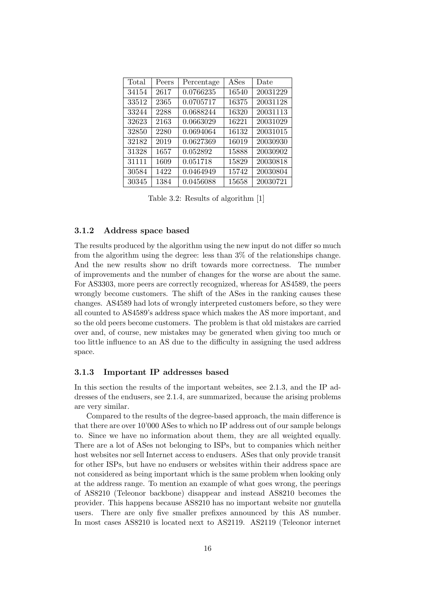| Total | Peers | Percentage | ASes  | Date     |
|-------|-------|------------|-------|----------|
| 34154 | 2617  | 0.0766235  | 16540 | 20031229 |
| 33512 | 2365  | 0.0705717  | 16375 | 20031128 |
| 33244 | 2288  | 0.0688244  | 16320 | 20031113 |
| 32623 | 2163  | 0.0663029  | 16221 | 20031029 |
| 32850 | 2280  | 0.0694064  | 16132 | 20031015 |
| 32182 | 2019  | 0.0627369  | 16019 | 20030930 |
| 31328 | 1657  | 0.052892   | 15888 | 20030902 |
| 31111 | 1609  | 0.051718   | 15829 | 20030818 |
| 30584 | 1422  | 0.0464949  | 15742 | 20030804 |
| 30345 | 1384  | 0.0456088  | 15658 | 20030721 |

Table 3.2: Results of algorithm [1]

#### 3.1.2 Address space based

The results produced by the algorithm using the new input do not differ so much from the algorithm using the degree: less than 3% of the relationships change. And the new results show no drift towards more correctness. The number of improvements and the number of changes for the worse are about the same. For AS3303, more peers are correctly recognized, whereas for AS4589, the peers wrongly become customers. The shift of the ASes in the ranking causes these changes. AS4589 had lots of wrongly interpreted customers before, so they were all counted to AS4589's address space which makes the AS more important, and so the old peers become customers. The problem is that old mistakes are carried over and, of course, new mistakes may be generated when giving too much or too little influence to an AS due to the difficulty in assigning the used address space.

#### 3.1.3 Important IP addresses based

In this section the results of the important websites, see 2.1.3, and the IP addresses of the endusers, see 2.1.4, are summarized, because the arising problems are very similar.

Compared to the results of the degree-based approach, the main difference is that there are over 10'000 ASes to which no IP address out of our sample belongs to. Since we have no information about them, they are all weighted equally. There are a lot of ASes not belonging to ISPs, but to companies which neither host websites nor sell Internet access to endusers. ASes that only provide transit for other ISPs, but have no endusers or websites within their address space are not considered as being important which is the same problem when looking only at the address range. To mention an example of what goes wrong, the peerings of AS8210 (Teleonor backbone) disappear and instead AS8210 becomes the provider. This happens because AS8210 has no important website nor gnutella users. There are only five smaller prefixes announced by this AS number. In most cases AS8210 is located next to AS2119. AS2119 (Teleonor internet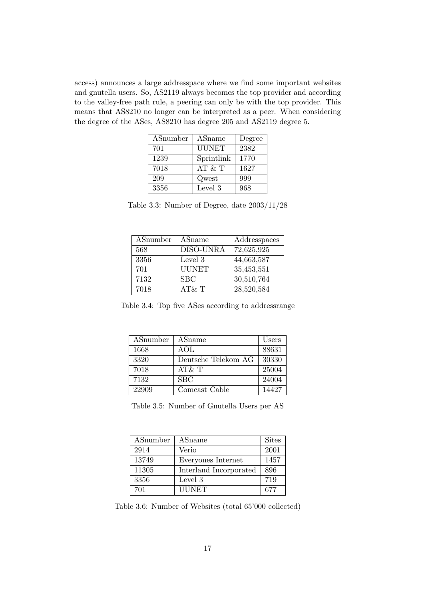access) announces a large addresspace where we find some important websites and gnutella users. So, AS2119 always becomes the top provider and according to the valley-free path rule, a peering can only be with the top provider. This means that AS8210 no longer can be interpreted as a peer. When considering the degree of the ASes, AS8210 has degree 205 and AS2119 degree 5.

| ASnumber | ASname       | Degree |
|----------|--------------|--------|
| 701      | <b>UUNET</b> | 2382   |
| 1239     | Sprintlink   | 1770   |
| 7018     | AT & T       | 1627   |
| 209      | Qwest        | 999    |
| 3356     | Level 3      | 968    |

Table 3.3: Number of Degree, date 2003/11/28

| ASnumber | ASname    | Addresspaces |
|----------|-----------|--------------|
| 568      | DISO-UNRA | 72,625,925   |
| 3356     | Level 3   | 44,663,587   |
| 701      | UUNET     | 35,453,551   |
| 7132     | SBC       | 30,510,764   |
| 7018     | AT& T     | 28,520,584   |

Table 3.4: Top five ASes according to addressrange

| ASnumber | ASname              | Users |
|----------|---------------------|-------|
| 1668     | AOL                 | 88631 |
| 3320     | Deutsche Telekom AG | 30330 |
| 7018     | AT&T                | 25004 |
| 7132     | SBC                 | 24004 |
| 22909    | Comcast Cable       | 14427 |

Table 3.5: Number of Gnutella Users per AS

| ASnumber | ASname                 | <b>Sites</b> |
|----------|------------------------|--------------|
| 2914     | Verio                  | 2001         |
| 13749    | Everyones Internet     | 1457         |
| 11305    | Interland Incorporated | 896          |
| 3356     | Level 3                | 719          |
| 701      | <b>UUNET</b>           | 677          |

Table 3.6: Number of Websites (total 65'000 collected)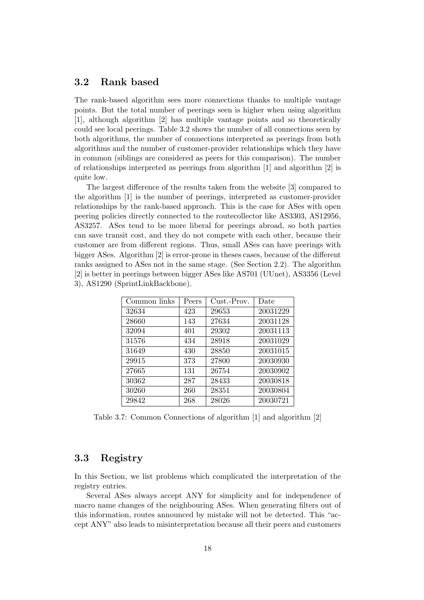#### 3.2 Rank based

The rank-based algorithm sees more connections thanks to multiple vantage points. But the total number of peerings seen is higher when using algorithm [1], although algorithm [2] has multiple vantage points and so theoretically could see local peerings. Table 3.2 shows the number of all connections seen by both algorithms, the number of connections interpreted as peerings from both algorithms and the number of customer-provider relationships which they have in common (siblings are considered as peers for this comparison). The number of relationships interpreted as peerings from algorithm [1] and algorithm [2] is quite low.

The largest difference of the results taken from the website [3] compared to the algorithm [1] is the number of peerings, interpreted as customer-provider relationships by the rank-based approach. This is the case for ASes with open peering policies directly connected to the routecollector like AS3303, AS12956, AS3257. ASes tend to be more liberal for peerings abroad, so both parties can save transit cost, and they do not compete with each other, because their customer are from different regions. Thus, small ASes can have peerings with bigger ASes. Algorithm [2] is error-prone in theses cases, because of the different ranks assigned to ASes not in the same stage. (See Section 2.2). The algorithm [2] is better in peerings between bigger ASes like AS701 (UUnet), AS3356 (Level 3), AS1290 (SprintLinkBackbone).

| Common links | Peers | Cust.-Prov. | Date     |
|--------------|-------|-------------|----------|
| 32634        | 423   | 29653       | 20031229 |
| 28660        | 143   | 27634       | 20031128 |
| 32094        | 401   | 29302       | 20031113 |
| 31576        | 434   | 28918       | 20031029 |
| 31649        | 430   | 28850       | 20031015 |
| 29915        | 373   | 27800       | 20030930 |
| 27665        | 131   | 26754       | 20030902 |
| 30362        | 287   | 28433       | 20030818 |
| 30260        | 260   | 28351       | 20030804 |
| 29842        | 268   | 28026       | 20030721 |

Table 3.7: Common Connections of algorithm [1] and algorithm [2]

### 3.3 Registry

In this Section, we list problems which complicated the interpretation of the registry entries.

Several ASes always accept ANY for simplicity and for independence of macro name changes of the neighbouring ASes. When generating filters out of this information, routes announced by mistake will not be detected. This "accept ANY" also leads to misinterpretation because all their peers and customers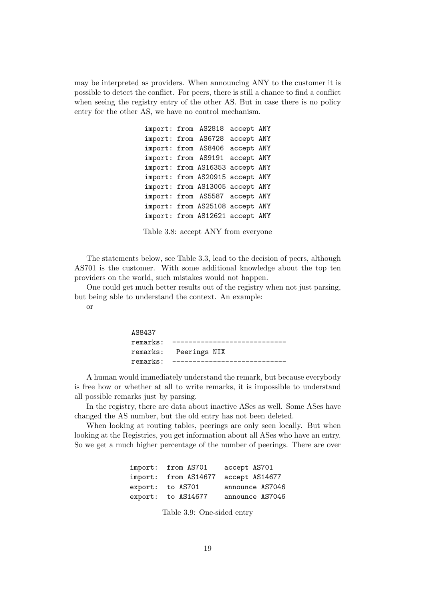may be interpreted as providers. When announcing ANY to the customer it is possible to detect the conflict. For peers, there is still a chance to find a conflict when seeing the registry entry of the other AS. But in case there is no policy entry for the other AS, we have no control mechanism.

> import: from AS2818 accept ANY import: from AS6728 accept ANY import: from AS8406 accept ANY import: from AS9191 accept ANY import: from AS16353 accept ANY import: from AS20915 accept ANY import: from AS13005 accept ANY import: from AS5587 accept ANY import: from AS25108 accept ANY import: from AS12621 accept ANY

Table 3.8: accept ANY from everyone

The statements below, see Table 3.3, lead to the decision of peers, although AS701 is the customer. With some additional knowledge about the top ten providers on the world, such mistakes would not happen.

One could get much better results out of the registry when not just parsing, but being able to understand the context. An example:

or

| AS8437 |                          |  |
|--------|--------------------------|--|
|        | $remarks:$ ---------     |  |
|        | remarks: Peerings NIX    |  |
|        | remarks: --------------- |  |

A human would immediately understand the remark, but because everybody is free how or whether at all to write remarks, it is impossible to understand all possible remarks just by parsing.

In the registry, there are data about inactive ASes as well. Some ASes have changed the AS number, but the old entry has not been deleted.

When looking at routing tables, peerings are only seen locally. But when looking at the Registries, you get information about all ASes who have an entry. So we get a much higher percentage of the number of peerings. There are over

| import: | from AS701   | accept AS701    |
|---------|--------------|-----------------|
| import: | from AS14677 | accept AS14677  |
| export: | to AS701     | announce AS7046 |
| export: | to AS14677   | announce AS7046 |

Table 3.9: One-sided entry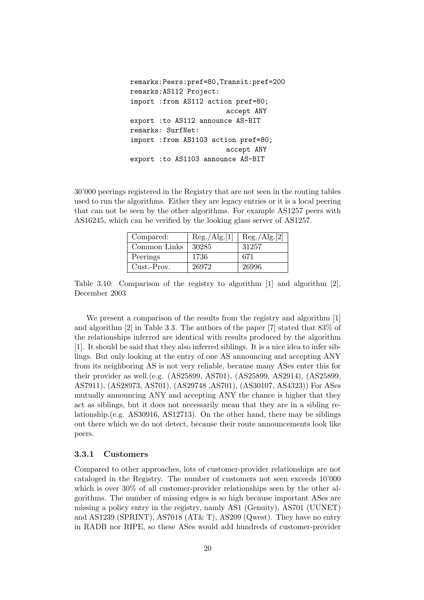```
remarks:Peers:pref=80,Transit:pref=200
remarks:AS112 Project:
import :from AS112 action pref=80;
                        accept ANY
export :to AS112 announce AS-BIT
remarks: SurfNet:
import :from AS1103 action pref=80;
                        accept ANY
export :to AS1103 announce AS-BIT
```
30'000 peerings registered in the Registry that are not seen in the routing tables used to run the algorithms. Either they are legacy entries or it is a local peering that can not be seen by the other algorithms. For example AS1257 peers with AS16245, which can be verified by the looking glass server of AS1257.

| Compared:    | Reg./Alg.[1] | Reg./Alg.[2] |
|--------------|--------------|--------------|
| Common Links | 30285        | 31257        |
| Peerings     | 1736         | 671          |
| Cust.-Prov.  | 26972        | 26996        |

Table 3.10: Comparison of the registry to algorithm [1] and algorithm [2], December 2003

We present a comparison of the results from the registry and algorithm [1] and algorithm [2] in Table 3.3. The authors of the paper [7] stated that 83% of the relationships inferred are identical with results produced by the algorithm [1]. It should be said that they also inferred siblings. It is a nice idea to infer siblings. But only looking at the entry of one AS announcing and accepting ANY from its neighboring AS is not very reliable, because many ASes enter this for their provider as well.(e.g. (AS25899, AS701), (AS25899, AS2914), (AS25899, AS7911), (AS28973, AS701), (AS29748 ,AS701), (AS30107, AS4323)) For ASes mutually announcing ANY and accepting ANY the chance is higher that they act as siblings, but it does not necessarily mean that they are in a sibling relationship.(e.g. AS30916, AS12713). On the other hand, there may be siblings out there which we do not detect, because their route announcements look like peers.

#### 3.3.1 Customers

Compared to other approaches, lots of customer-provider relationships are not cataloged in the Registry. The number of customers not seen exceeds 10'000 which is over  $30\%$  of all customer-provider relationships seen by the other algorithms. The number of missing edges is so high because important ASes are missing a policy entry in the registry, namly AS1 (Genuity), AS701 (UUNET) and AS1239 (SPRINT), AS7018 (AT& T), AS209 (Qwest). They have no entry in RADB nor RIPE, so these ASes would add hundreds of customer-provider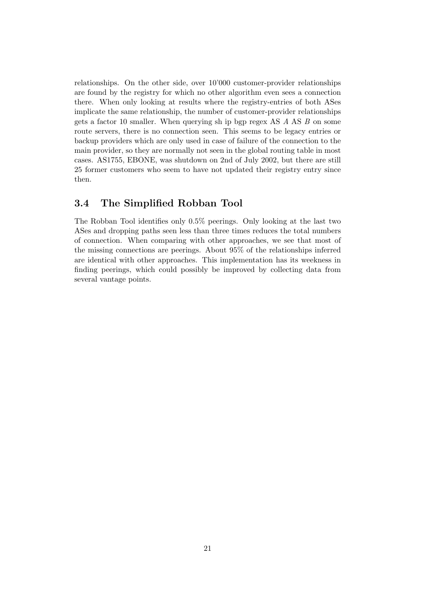relationships. On the other side, over 10'000 customer-provider relationships are found by the registry for which no other algorithm even sees a connection there. When only looking at results where the registry-entries of both ASes implicate the same relationship, the number of customer-provider relationships gets a factor 10 smaller. When querying sh ip bgp regex AS A AS B on some route servers, there is no connection seen. This seems to be legacy entries or backup providers which are only used in case of failure of the connection to the main provider, so they are normally not seen in the global routing table in most cases. AS1755, EBONE, was shutdown on 2nd of July 2002, but there are still 25 former customers who seem to have not updated their registry entry since then.

# 3.4 The Simplified Robban Tool

The Robban Tool identifies only 0.5% peerings. Only looking at the last two ASes and dropping paths seen less than three times reduces the total numbers of connection. When comparing with other approaches, we see that most of the missing connections are peerings. About 95% of the relationships inferred are identical with other approaches. This implementation has its weekness in finding peerings, which could possibly be improved by collecting data from several vantage points.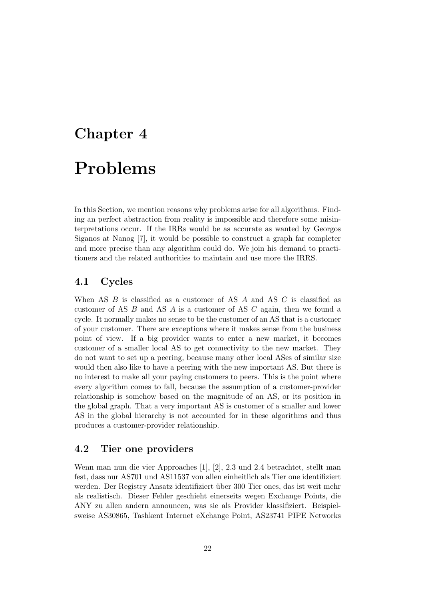# Chapter 4 Problems

In this Section, we mention reasons why problems arise for all algorithms. Finding an perfect abstraction from reality is impossible and therefore some misinterpretations occur. If the IRRs would be as accurate as wanted by Georgos Siganos at Nanog [7], it would be possible to construct a graph far completer and more precise than any algorithm could do. We join his demand to practitioners and the related authorities to maintain and use more the IRRS.

# 4.1 Cycles

When AS  $B$  is classified as a customer of AS  $A$  and AS  $C$  is classified as customer of AS B and AS A is a customer of AS C again, then we found a cycle. It normally makes no sense to be the customer of an AS that is a customer of your customer. There are exceptions where it makes sense from the business point of view. If a big provider wants to enter a new market, it becomes customer of a smaller local AS to get connectivity to the new market. They do not want to set up a peering, because many other local ASes of similar size would then also like to have a peering with the new important AS. But there is no interest to make all your paying customers to peers. This is the point where every algorithm comes to fall, because the assumption of a customer-provider relationship is somehow based on the magnitude of an AS, or its position in the global graph. That a very important AS is customer of a smaller and lower AS in the global hierarchy is not accounted for in these algorithms and thus produces a customer-provider relationship.

# 4.2 Tier one providers

Wenn man nun die vier Approaches [1], [2], 2.3 und 2.4 betrachtet, stellt man fest, dass nur AS701 und AS11537 von allen einheitlich als Tier one identifiziert werden. Der Registry Ansatz identifiziert über 300 Tier ones, das ist weit mehr als realistisch. Dieser Fehler geschieht einerseits wegen Exchange Points, die ANY zu allen andern announcen, was sie als Provider klassifiziert. Beispielsweise AS30865, Tashkent Internet eXchange Point, AS23741 PIPE Networks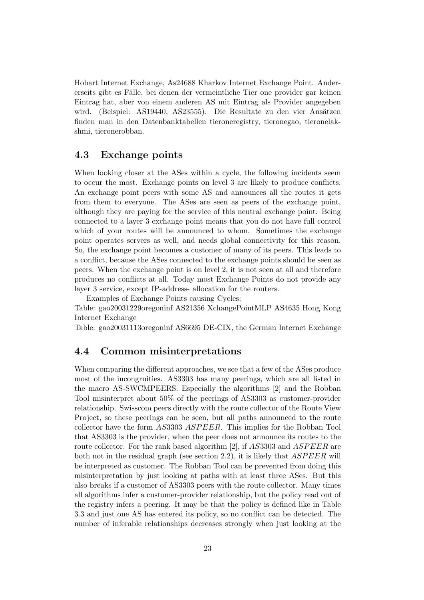Hobart Internet Exchange, As24688 Kharkov Internet Exchange Point. Andererseits gibt es Fälle, bei denen der vermeintliche Tier one provider gar keinen Eintrag hat, aber von einem anderen AS mit Eintrag als Provider angegeben wird. (Beispiel: AS19440, AS23555). Die Resultate zu den vier Ansätzen finden man in den Datenbanktabellen tieroneregistry, tieronegao, tieronelakshmi, tieronerobban.

### 4.3 Exchange points

When looking closer at the ASes within a cycle, the following incidents seem to occur the most. Exchange points on level 3 are likely to produce conflicts. An exchange point peers with some AS and announces all the routes it gets from them to everyone. The ASes are seen as peers of the exchange point, although they are paying for the service of this neutral exchange point. Being connected to a layer 3 exchange point means that you do not have full control which of your routes will be announced to whom. Sometimes the exchange point operates servers as well, and needs global connectivity for this reason. So, the exchange point becomes a customer of many of its peers. This leads to a conflict, because the ASes connected to the exchange points should be seen as peers. When the exchange point is on level 2, it is not seen at all and therefore produces no conflicts at all. Today most Exchange Points do not provide any layer 3 service, except IP-address- allocation for the routers.

Examples of Exchange Points causing Cycles:

Table: gao20031229oregoninf AS21356 XchangePointMLP AS4635 Hong Kong Internet Exchange

Table: gao20031113oregoninf AS6695 DE-CIX, the German Internet Exchange

#### 4.4 Common misinterpretations

When comparing the different approaches, we see that a few of the ASes produce most of the incongruities. AS3303 has many peerings, which are all listed in the macro AS-SWCMPEERS. Especially the algorithms [2] and the Robban Tool misinterpret about 50% of the peerings of AS3303 as customer-provider relationship. Swisscom peers directly with the route collector of the Route View Project, so these peerings can be seen, but all paths announced to the route collector have the form AS3303 ASPEER. This implies for the Robban Tool that AS3303 is the provider, when the peer does not announce its routes to the route collector. For the rank based algorithm [2], if AS3303 and ASPEER are both not in the residual graph (see section 2.2), it is likely that  $ASPEER$  will be interpreted as customer. The Robban Tool can be prevented from doing this misinterpretation by just looking at paths with at least three ASes. But this also breaks if a customer of AS3303 peers with the route collector. Many times all algorithms infer a customer-provider relationship, but the policy read out of the registry infers a peering. It may be that the policy is defined like in Table 3.3 and just one AS has entered its policy, so no conflict can be detected. The number of inferable relationships decreases strongly when just looking at the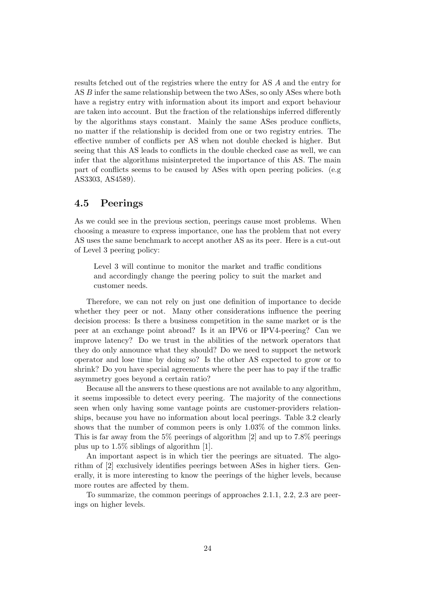results fetched out of the registries where the entry for AS A and the entry for AS B infer the same relationship between the two ASes, so only ASes where both have a registry entry with information about its import and export behaviour are taken into account. But the fraction of the relationships inferred differently by the algorithms stays constant. Mainly the same ASes produce conflicts, no matter if the relationship is decided from one or two registry entries. The effective number of conflicts per AS when not double checked is higher. But seeing that this AS leads to conflicts in the double checked case as well, we can infer that the algorithms misinterpreted the importance of this AS. The main part of conflicts seems to be caused by ASes with open peering policies. (e.g AS3303, AS4589).

### 4.5 Peerings

As we could see in the previous section, peerings cause most problems. When choosing a measure to express importance, one has the problem that not every AS uses the same benchmark to accept another AS as its peer. Here is a cut-out of Level 3 peering policy:

Level 3 will continue to monitor the market and traffic conditions and accordingly change the peering policy to suit the market and customer needs.

Therefore, we can not rely on just one definition of importance to decide whether they peer or not. Many other considerations influence the peering decision process: Is there a business competition in the same market or is the peer at an exchange point abroad? Is it an IPV6 or IPV4-peering? Can we improve latency? Do we trust in the abilities of the network operators that they do only announce what they should? Do we need to support the network operator and lose time by doing so? Is the other AS expected to grow or to shrink? Do you have special agreements where the peer has to pay if the traffic asymmetry goes beyond a certain ratio?

Because all the answers to these questions are not available to any algorithm, it seems impossible to detect every peering. The majority of the connections seen when only having some vantage points are customer-providers relationships, because you have no information about local peerings. Table 3.2 clearly shows that the number of common peers is only 1.03% of the common links. This is far away from the  $5\%$  peerings of algorithm [2] and up to 7.8% peerings plus up to 1.5% siblings of algorithm [1].

An important aspect is in which tier the peerings are situated. The algorithm of [2] exclusively identifies peerings between ASes in higher tiers. Generally, it is more interesting to know the peerings of the higher levels, because more routes are affected by them.

To summarize, the common peerings of approaches 2.1.1, 2.2, 2.3 are peerings on higher levels.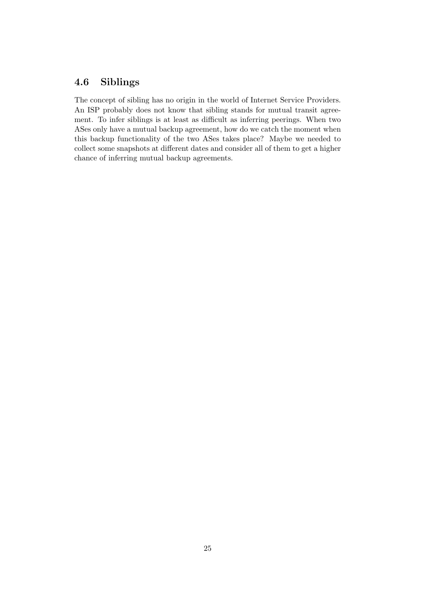# 4.6 Siblings

The concept of sibling has no origin in the world of Internet Service Providers. An ISP probably does not know that sibling stands for mutual transit agreement. To infer siblings is at least as difficult as inferring peerings. When two ASes only have a mutual backup agreement, how do we catch the moment when this backup functionality of the two ASes takes place? Maybe we needed to collect some snapshots at different dates and consider all of them to get a higher chance of inferring mutual backup agreements.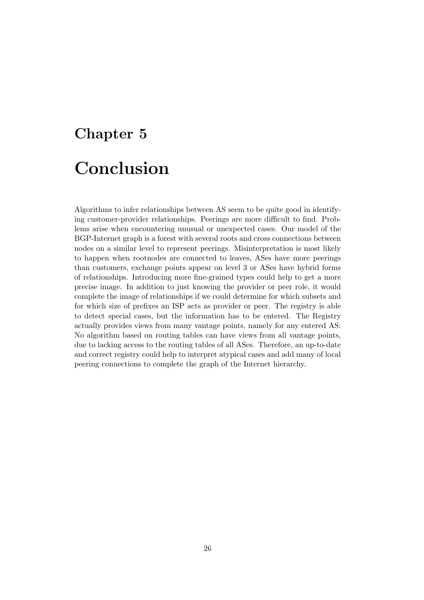# Chapter 5 Conclusion

Algorithms to infer relationships between AS seem to be quite good in identifying customer-provider relationships. Peerings are more difficult to find. Problems arise when encountering unusual or unexpected cases. Our model of the BGP-Internet graph is a forest with several roots and cross connections between nodes on a similar level to represent peerings. Misinterpretation is most likely to happen when rootnodes are connected to leaves, ASes have more peerings than customers, exchange points appear on level 3 or ASes have hybrid forms of relationships. Introducing more fine-grained types could help to get a more precise image. In addition to just knowing the provider or peer role, it would complete the image of relationships if we could determine for which subsets and for which size of prefixes an ISP acts as provider or peer. The registry is able to detect special cases, but the information has to be entered. The Registry actually provides views from many vantage points, namely for any entered AS: No algorithm based on routing tables can have views from all vantage points, due to lacking access to the routing tables of all ASes. Therefore, an up-to-date and correct registry could help to interpret atypical cases and add many of local peering connections to complete the graph of the Internet hierarchy.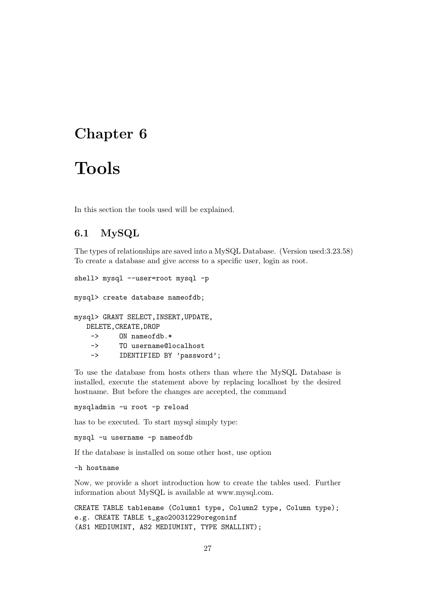# Chapter 6

# Tools

In this section the tools used will be explained.

# 6.1 MySQL

The types of relationships are saved into a MySQL Database. (Version used:3.23.58) To create a database and give access to a specific user, login as root.

```
shell> mysql --user=root mysql -p
mysql> create database nameofdb;
mysql> GRANT SELECT,INSERT,UPDATE,
   DELETE,CREATE,DROP
    -> ON nameofdb.*
    -> TO username@localhost
    -> IDENTIFIED BY 'password';
```
To use the database from hosts others than where the MySQL Database is installed, execute the statement above by replacing localhost by the desired hostname. But before the changes are accepted, the command

mysqladmin -u root -p reload

has to be executed. To start mysql simply type:

mysql -u username -p nameofdb

If the database is installed on some other host, use option

-h hostname

Now, we provide a short introduction how to create the tables used. Further information about MySQL is available at www.mysql.com.

CREATE TABLE tablename (Column1 type, Column2 type, Column type); e.g. CREATE TABLE t\_gao20031229oregoninf (AS1 MEDIUMINT, AS2 MEDIUMINT, TYPE SMALLINT);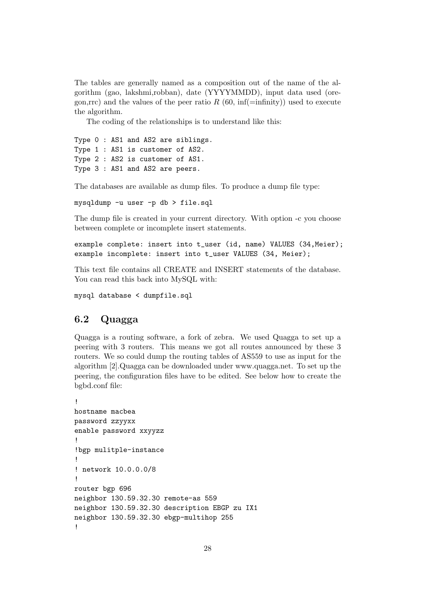The tables are generally named as a composition out of the name of the algorithm (gao, lakshmi,robban), date (YYYYMMDD), input data used (oregon,rrc) and the values of the peer ratio R  $(60, \text{inf}(\text{=infinity}))$  used to execute the algorithm.

The coding of the relationships is to understand like this:

Type 0 : AS1 and AS2 are siblings. Type 1 : AS1 is customer of AS2. Type 2 : AS2 is customer of AS1. Type 3 : AS1 and AS2 are peers.

The databases are available as dump files. To produce a dump file type:

mysqldump -u user -p db > file.sql

The dump file is created in your current directory. With option -c you choose between complete or incomplete insert statements.

```
example complete: insert into t_user (id, name) VALUES (34,Meier);
example incomplete: insert into t_user VALUES (34, Meier);
```
This text file contains all CREATE and INSERT statements of the database. You can read this back into MySQL with:

mysql database < dumpfile.sql

# 6.2 Quagga

Quagga is a routing software, a fork of zebra. We used Quagga to set up a peering with 3 routers. This means we got all routes announced by these 3 routers. We so could dump the routing tables of AS559 to use as input for the algorithm [2].Quagga can be downloaded under www.quagga.net. To set up the peering, the configuration files have to be edited. See below how to create the bgbd.conf file:

```
!
hostname macbea
password zzyyxx
enable password xxyyzz
!
!bgp mulitple-instance
!
! network 10.0.0.0/8
!
router bgp 696
neighbor 130.59.32.30 remote-as 559
neighbor 130.59.32.30 description EBGP zu IX1
neighbor 130.59.32.30 ebgp-multihop 255
!
```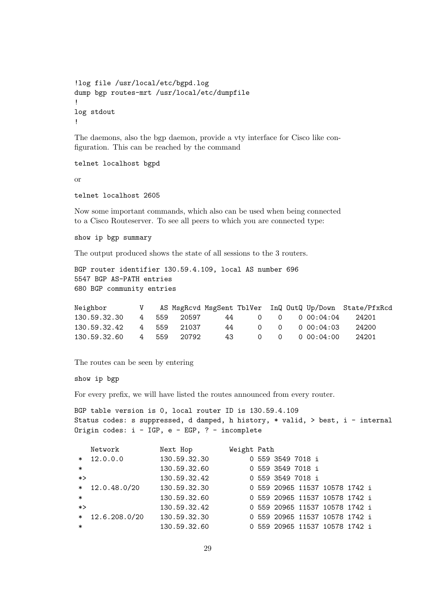```
!log file /usr/local/etc/bgpd.log
dump bgp routes-mrt /usr/local/etc/dumpfile
!
log stdout
!
```
The daemons, also the bgp daemon, provide a vty interface for Cisco like configuration. This can be reached by the command

telnet localhost bgpd

or

```
telnet localhost 2605
```
Now some important commands, which also can be used when being connected to a Cisco Routeserver. To see all peers to which you are connected type:

```
show ip bgp summary
```
The output produced shows the state of all sessions to the 3 routers.

```
BGP router identifier 130.59.4.109, local AS number 696
5547 BGP AS-PATH entries
680 BGP community entries
```

| Neighbor                    |  |             |    |      |  |                                       | V AS MsgRcvd MsgSent TblVer InQ OutQ Up/Down State/PfxRcd |
|-----------------------------|--|-------------|----|------|--|---------------------------------------|-----------------------------------------------------------|
| 130.59.32.30                |  | 4 559 20597 |    | 44 — |  |                                       | $0 \qquad 0 \qquad 0 \qquad 00:04:04 \qquad 24201$        |
| 130.59.32.42  4  559  21037 |  |             | 44 |      |  | $0 \qquad 0 \qquad 0 \qquad 00:04:03$ | 24200                                                     |
| 130.59.32.60 4 559 20792    |  |             | 43 |      |  | $0 \qquad 0 \qquad 0 \qquad 00:04:00$ | 24201                                                     |

The routes can be seen by entering

show ip bgp

For every prefix, we will have listed the routes announced from every router.

```
BGP table version is 0, local router ID is 130.59.4.109
Status codes: s suppressed, d damped, h history, * valid, > best, i - internal
Origin codes: i - IGP, e - EGP, ? - incomplete
```

|        | Network           | Next Hop     | Weight Path |                   |                                |  |  |
|--------|-------------------|--------------|-------------|-------------------|--------------------------------|--|--|
|        | $* 12.0.0.0$      | 130.59.32.30 |             | 0 559 3549 7018 i |                                |  |  |
| $\ast$ |                   | 130.59.32.60 |             | 0 559 3549 7018 i |                                |  |  |
| $*$    |                   | 130.59.32.42 |             | 0 559 3549 7018 i |                                |  |  |
|        | $*$ 12.0.48.0/20  | 130.59.32.30 |             |                   | 0 559 20965 11537 10578 1742 i |  |  |
| $\ast$ |                   | 130.59.32.60 |             |                   | 0 559 20965 11537 10578 1742 i |  |  |
| $\ast$ |                   | 130.59.32.42 |             |                   | 0 559 20965 11537 10578 1742 i |  |  |
|        | $*$ 12.6.208.0/20 | 130.59.32.30 |             |                   | 0 559 20965 11537 10578 1742 i |  |  |
| $\ast$ |                   | 130.59.32.60 |             |                   | 0 559 20965 11537 10578 1742 i |  |  |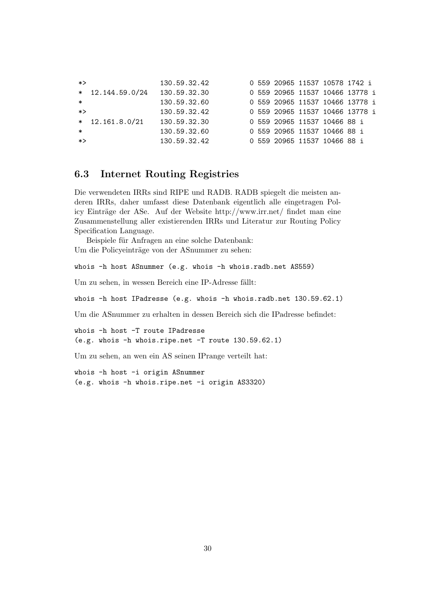| *> |                    | 130.59.32.42 |  |  | 0 559 20965 11537 10578 1742 i  |  |  |
|----|--------------------|--------------|--|--|---------------------------------|--|--|
|    | $*$ 12.144.59.0/24 | 130.59.32.30 |  |  | 0 559 20965 11537 10466 13778 i |  |  |
| ∗  |                    | 130.59.32.60 |  |  | 0 559 20965 11537 10466 13778 i |  |  |
| *> |                    | 130.59.32.42 |  |  | 0 559 20965 11537 10466 13778 i |  |  |
|    | $*$ 12.161.8.0/21  | 130.59.32.30 |  |  | 0 559 20965 11537 10466 88 i    |  |  |
| ∗  |                    | 130.59.32.60 |  |  | 0 559 20965 11537 10466 88 i    |  |  |
| *> |                    | 130.59.32.42 |  |  | 0 559 20965 11537 10466 88 i    |  |  |

## 6.3 Internet Routing Registries

Die verwendeten IRRs sind RIPE und RADB. RADB spiegelt die meisten anderen IRRs, daher umfasst diese Datenbank eigentlich alle eingetragen Policy Einträge der ASe. Auf der Website http://www.irr.net/ findet man eine Zusammenstellung aller existierenden IRRs und Literatur zur Routing Policy Specification Language.

Beispiele für Anfragen an eine solche Datenbank: Um die Policyeinträge von der ASnummer zu sehen:

whois -h host ASnummer (e.g. whois -h whois.radb.net AS559)

Um zu sehen, in wessen Bereich eine IP-Adresse fällt:

whois -h host IPadresse (e.g. whois -h whois.radb.net 130.59.62.1)

Um die ASnummer zu erhalten in dessen Bereich sich die IPadresse befindet:

whois -h host -T route IPadresse (e.g. whois -h whois.ripe.net -T route 130.59.62.1)

Um zu sehen, an wen ein AS seinen IPrange verteilt hat:

whois -h host -i origin ASnummer (e.g. whois -h whois.ripe.net -i origin AS3320)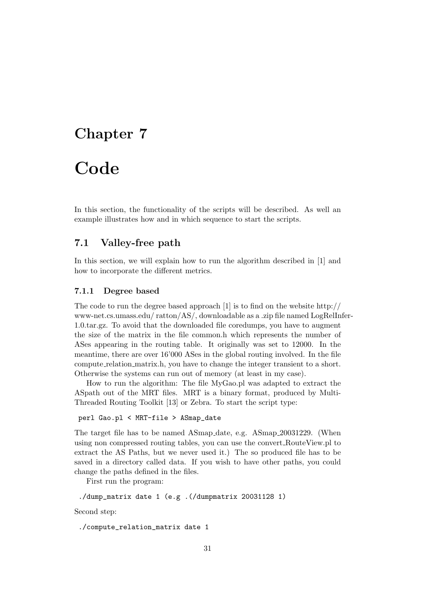# Chapter 7

# **Code**

In this section, the functionality of the scripts will be described. As well an example illustrates how and in which sequence to start the scripts.

### 7.1 Valley-free path

In this section, we will explain how to run the algorithm described in [1] and how to incorporate the different metrics.

#### 7.1.1 Degree based

The code to run the degree based approach [1] is to find on the website http:// www-net.cs.umass.edu/ ratton/AS/, downloadable as a .zip file named LogRelInfer-1.0.tar.gz. To avoid that the downloaded file coredumps, you have to augment the size of the matrix in the file common.h which represents the number of ASes appearing in the routing table. It originally was set to 12000. In the meantime, there are over 16'000 ASes in the global routing involved. In the file compute relation matrix.h, you have to change the integer transient to a short. Otherwise the systems can run out of memory (at least in my case).

How to run the algorithm: The file MyGao.pl was adapted to extract the ASpath out of the MRT files. MRT is a binary format, produced by Multi-Threaded Routing Toolkit [13] or Zebra. To start the script type:

#### perl Gao.pl < MRT-file > ASmap\_date

The target file has to be named ASmap date, e.g. ASmap 20031229. (When using non compressed routing tables, you can use the convert RouteView.pl to extract the AS Paths, but we never used it.) The so produced file has to be saved in a directory called data. If you wish to have other paths, you could change the paths defined in the files.

First run the program:

```
./dump_matrix date 1 (e.g .(/dumpmatrix 20031128 1)
```
Second step:

```
./compute_relation_matrix date 1
```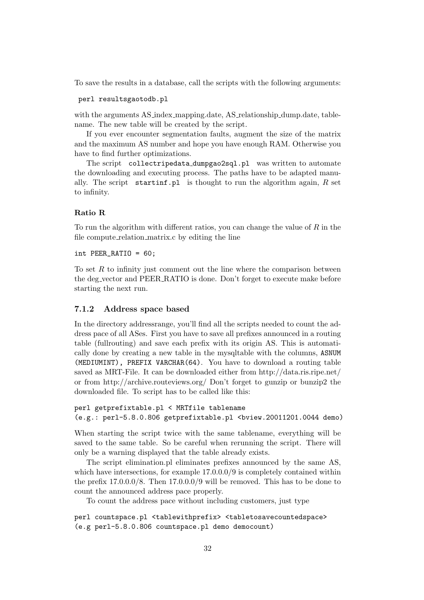To save the results in a database, call the scripts with the following arguments:

#### perl resultsgaotodb.pl

with the arguments AS index mapping.date, AS relationship dump.date, tablename. The new table will be created by the script.

If you ever encounter segmentation faults, augment the size of the matrix and the maximum AS number and hope you have enough RAM. Otherwise you have to find further optimizations.

The script collectripedata dumpgao2sql.pl was written to automate the downloading and executing process. The paths have to be adapted manually. The script startinf.pl is thought to run the algorithm again,  $R$  set to infinity.

#### Ratio R

To run the algorithm with different ratios, you can change the value of  $R$  in the file compute relation matrix.c by editing the line

int PEER\_RATIO = 60;

To set  $R$  to infinity just comment out the line where the comparison between the deg vector and PEER RATIO is done. Don't forget to execute make before starting the next run.

#### 7.1.2 Address space based

In the directory addressrange, you'll find all the scripts needed to count the address pace of all ASes. First you have to save all prefixes announced in a routing table (fullrouting) and save each prefix with its origin AS. This is automatically done by creating a new table in the mysqltable with the columns, ASNUM (MEDIUMINT), PREFIX VARCHAR(64). You have to download a routing table saved as MRT-File. It can be downloaded either from http://data.ris.ripe.net/ or from http://archive.routeviews.org/ Don't forget to gunzip or bunzip2 the downloaded file. To script has to be called like this:

```
perl getprefixtable.pl < MRTfile tablename
(e.g.: perl-5.8.0.806 getprefixtable.pl <br/> <br/>bview.20011201.0044 demo)
```
When starting the script twice with the same tablename, everything will be saved to the same table. So be careful when rerunning the script. There will only be a warning displayed that the table already exists.

The script elimination.pl eliminates prefixes announced by the same AS, which have intersections, for example  $17.0.0.0/9$  is completely contained within the prefix 17.0.0.0/8. Then 17.0.0.0/9 will be removed. This has to be done to count the announced address pace properly.

To count the address pace without including customers, just type

perl countspace.pl <tablewithprefix> <tabletosavecountedspace> (e.g perl-5.8.0.806 countspace.pl demo democount)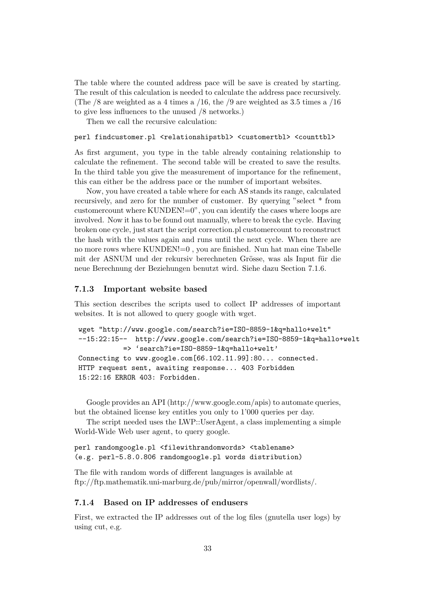The table where the counted address pace will be save is created by starting. The result of this calculation is needed to calculate the address pace recursively. (The  $/8$  are weighted as a 4 times a  $/16$ , the  $/9$  are weighted as 3.5 times a  $/16$ to give less influences to the unused /8 networks.)

Then we call the recursive calculation:

#### perl findcustomer.pl <relationshipstbl> <customertbl> <counttbl>

As first argument, you type in the table already containing relationship to calculate the refinement. The second table will be created to save the results. In the third table you give the measurement of importance for the refinement, this can either be the address pace or the number of important websites.

Now, you have created a table where for each AS stands its range, calculated recursively, and zero for the number of customer. By querying "select \* from customercount where KUNDEN!=0", you can identify the cases where loops are involved. Now it has to be found out manually, where to break the cycle. Having broken one cycle, just start the script correction.pl customercount to reconstruct the hash with the values again and runs until the next cycle. When there are no more rows where KUNDEN!=0 , you are finished. Nun hat man eine Tabelle mit der ASNUM und der rekursiv berechneten Grösse, was als Input für die neue Berechnung der Beziehungen benutzt wird. Siehe dazu Section 7.1.6.

#### 7.1.3 Important website based

This section describes the scripts used to collect IP addresses of important websites. It is not allowed to query google with wget.

```
wget "http://www.google.com/search?ie=ISO-8859-1&q=hallo+welt"
--15:22:15-- http://www.google.com/search?ie=ISO-8859-1&q=hallo+welt
           => 'search?ie=ISO-8859-1&q=hallo+welt'
Connecting to www.google.com[66.102.11.99]:80... connected.
HTTP request sent, awaiting response... 403 Forbidden
15:22:16 ERROR 403: Forbidden.
```
Google provides an API (http://www.google.com/apis) to automate queries, but the obtained license key entitles you only to 1'000 queries per day.

The script needed uses the LWP::UserAgent, a class implementing a simple World-Wide Web user agent, to query google.

#### perl randomgoogle.pl <filewithrandomwords> <tablename> (e.g. perl-5.8.0.806 randomgoogle.pl words distribution)

The file with random words of different languages is available at ftp://ftp.mathematik.uni-marburg.de/pub/mirror/openwall/wordlists/.

#### 7.1.4 Based on IP addresses of endusers

First, we extracted the IP addresses out of the log files (gnutella user logs) by using cut, e.g.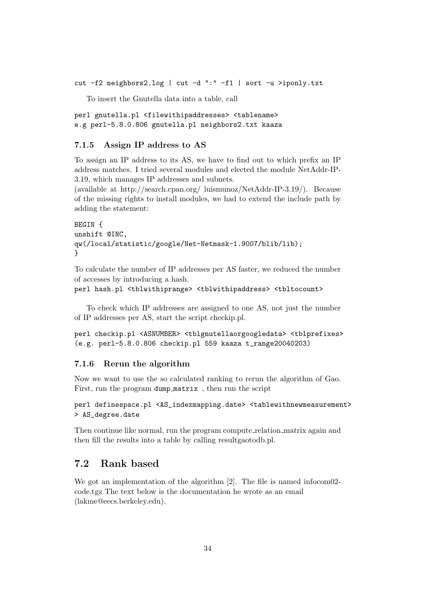cut -f2 neighbors2.log | cut -d ":" -f1 | sort -u >iponly.txt

To insert the Gnutella data into a table, call

perl gnutella.pl <filewithipaddresses> <tablename> e.g perl-5.8.0.806 gnutella.pl neighbors2.txt kaaza

#### 7.1.5 Assign IP address to AS

To assign an IP address to its AS, we have to find out to which prefix an IP address matches. I tried several modules and elected the module NetAddr-IP-3.19, which manages IP addresses and subnets.

(available at http://search.cpan.org/ luismunoz/NetAddr-IP-3.19/). Because of the missing rights to install modules, we had to extend the include path by adding the statement:

```
BEGIN {
unshift @INC,
qw(/local/statistic/google/Net-Netmask-1.9007/blib/lib);
}
```
To calculate the number of IP addresses per AS faster, we reduced the number of accesses by introducing a hash.

```
perl hash.pl <tblwithiprange> <tblwithipaddress> <tbltocount>
```
To check which IP addresses are assigned to one AS, not just the number of IP addresses per AS, start the script checkip.pl.

perl checkip.pl <ASNUMBER> <tblgnutellaorgoogledata> <tblprefixes> (e.g. perl-5.8.0.806 checkip.pl 559 kaaza t\_range20040203)

#### 7.1.6 Rerun the algorithm

Now we want to use the so calculated ranking to rerun the algorithm of Gao. First, run the program dump matrix , then run the script

```
perl definespace.pl <AS_indexmapping.date> <tablewithnewmeasurement>
> AS_degree.date
```
Then continue like normal, run the program compute relation matrix again and then fill the results into a table by calling resultgaotodb.pl.

# 7.2 Rank based

We got an implementation of the algorithm [2]. The file is named infocom02code.tgz The text below is the documentation he wrote as an email (lakme@eecs.berkeley.edu).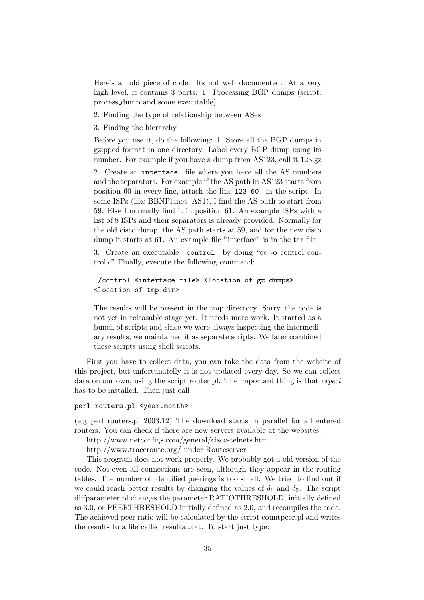Here's an old piece of code. Its not well documented. At a very high level, it contains 3 parts: 1. Processing BGP dumps (script: process dump and some executable)

- 2. Finding the type of relationship between ASes
- 3. Finding the hierarchy

Before you use it, do the following: 1. Store all the BGP dumps in gzipped format in one directory. Label every BGP dump using its number. For example if you have a dump from AS123, call it 123.gz

2. Create an interface file where you have all the AS numbers and the separators. For example if the AS path in AS123 starts from position 60 in every line, attach the line 123 60 in the script. In some ISPs (like BBNPlanet- AS1), I find the AS path to start from 59. Else I normally find it in position 61. An example ISPs with a list of 8 ISPs and their separators is already provided. Normally for the old cisco dump, the AS path starts at 59, and for the new cisco dump it starts at 61. An example file "interface" is in the tar file.

3. Create an executable control by doing "cc -o control control.c" Finally, execute the following command:

```
./control <interface file> <location of gz dumps>
<location of tmp dir>
```
The results will be present in the tmp directory. Sorry, the code is not yet in releasable stage yet. It needs more work. It started as a bunch of scripts and since we were always inspecting the intermediary results, we maintained it as separate scripts. We later combined these scripts using shell scripts.

First you have to collect data, you can take the data from the website of this project, but unfortunatelly it is not updated every day. So we can collect data on our own, using the script router.pl. The important thing is that expect has to be installed. Then just call

#### perl routers.pl <year.month>

(e.g perl routers.pl 2003.12) The download starts in parallel for all entered routers. You can check if there are new servers available at the websites:

http://www.netconfigs.com/general/cisco-telnets.htm

http://www.traceroute.org/ under Routeserver

This program does not work properly. We probably got a old version of the code. Not even all connections are seen, although they appear in the routing tables. The number of identified peerings is too small. We tried to find out if we could reach better results by changing the values of  $\delta_1$  and  $\delta_2$ . The script diffparameter.pl changes the parameter RATIOTHRESHOLD, initially defined as 3.0, or PEERTHRESHOLD initially defined as 2.0, and recompiles the code. The achieved peer ratio will be calculated by the script countpeer.pl and writes the results to a file called resultat.txt. To start just type: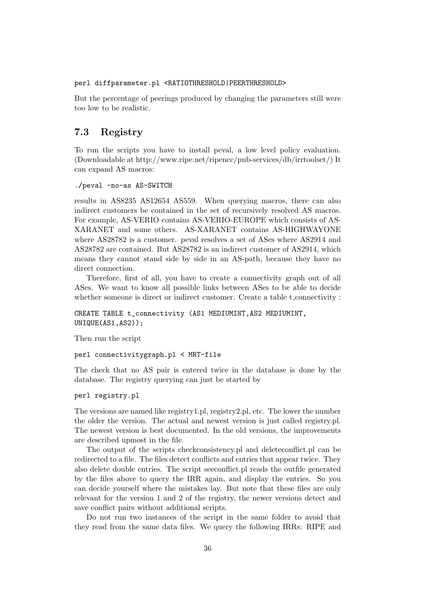#### perl diffparameter.pl <RATIOTHRESHOLD|PEERTHRESHOLD>

But the percentage of peerings produced by changing the parameters still were too low to be realistic.

# 7.3 Registry

To run the scripts you have to install peval, a low level policy evaluation. (Downloadable at http://www.ripe.net/ripencc/pub-services/db/irrtoolset/) It can expand AS macros:

#### ./peval -no-as AS-SWITCH

results in AS8235 AS12654 AS559. When querying macros, there can also indirect customers be contained in the set of recursively resolved AS macros. For example, AS-VERIO contains AS-VERIO-EUROPE which consists of AS-XARANET and some others. AS-XARANET contains AS-HIGHWAYONE where AS28782 is a customer. peval resolves a set of ASes where AS2914 and AS28782 are contained. But AS28782 is an indirect customer of AS2914, which means they cannot stand side by side in an AS-path, because they have no direct connection.

Therefore, first of all, you have to create a connectivity graph out of all ASes. We want to know all possible links between ASes to be able to decide whether someone is direct or indirect customer. Create a table t\_connectivity :

CREATE TABLE t\_connectivity (AS1 MEDIUMINT,AS2 MEDIUMINT, UNIQUE(AS1,AS2));

Then run the script

perl connectivitygraph.pl < MRT-file

The check that no AS pair is entered twice in the database is done by the database. The registry querying can just be started by

#### perl registry.pl

The versions are named like registry1.pl, registry2.pl, etc. The lower the number the older the version. The actual and newest version is just called registry.pl. The newest version is best documented. In the old versions, the improvements are described upmost in the file.

The output of the scripts checkconsistency.pl and deleteconflict.pl can be redirected to a file. The files detect conflicts and entries that appear twice. They also delete double entries. The script seeconflict.pl reads the outfile generated by the files above to query the IRR again, and display the entries. So you can decide yourself where the mistakes lay. But note that these files are only relevant for the version 1 and 2 of the registry, the newer versions detect and save conflict pairs without additional scripts.

Do not run two instances of the script in the same folder to avoid that they read from the same data files. We query the following IRRs: RIPE and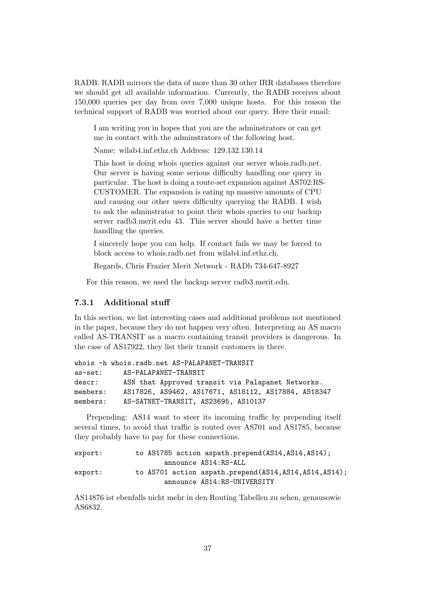RADB. RADB mirrors the data of more than 30 other IRR databases therefore we should get all available information. Currently, the RADB receives about 150,000 queries per day from over 7,000 unique hosts. For this reason the technical support of RADB was worried about our query. Here their email:

I am writing you in hopes that you are the adminstrators or can get me in contact with the adminstrators of the following host.

Name: wilab4.inf.ethz.ch Address: 129.132.130.14

This host is doing whois queries against our server whois.radb.net. Our server is having some serious difficulty handling one query in particular. The host is doing a route-set expansion against AS702:RS-CUSTOMER. The expansion is eating up massive amounts of CPU and causing our other users difficulty querying the RADB. I wish to ask the adminstrator to point their whois queries to our backup server radb3.merit.edu 43. This server should have a better time handling the queries.

I sincerely hope you can help. If contact fails we may be forced to block access to whois.radb.net from wilab4.inf.ethz.ch.

Regards, Chris Frazier Merit Network - RADb 734-647-8927

For this reason, we used the backup server radb3.merit.edu.

#### 7.3.1 Additional stuff

In this section, we list interesting cases and additional problems not mentioned in the paper, because they do not happen very often. Interpreting an AS macro called AS-TRANSIT as a macro containing transit providers is dangerous. In the case of AS17922, they list their transit customers in there.

```
whois -h whois.radb.net AS-PALAPANET-TRANSIT
as-set: AS-PALAPANET-TRANSIT
descr: ASN that Approved transit via Palapanet Networks.
members: AS17826, AS9462, AS17671, AS18112, AS17884, AS18347
members: AS-SATNET-TRANSIT, AS23695, AS10137
```
Prepending: AS14 want to steer its incoming traffic by prepending itself several times, to avoid that traffic is routed over AS701 and AS1785, because they probably have to pay for these connections.

```
export: to AS1785 action aspath.prepend(AS14, AS14, AS14);
                    announce AS14:RS-ALL
export: to AS701 action aspath.prepend(AS14,AS14,AS14,AS14);
                    announce AS14:RS-UNIVERSITY
```
AS14876 ist ebenfalls nicht mehr in den Routing Tabellen zu sehen, genausowie AS6832.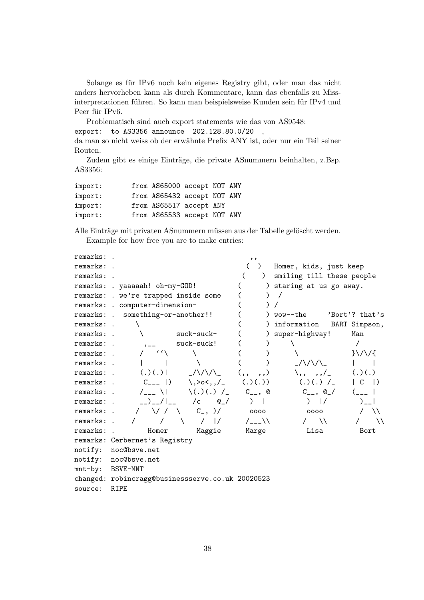Solange es für IPv6 noch kein eigenes Registry gibt, oder man das nicht anders hervorheben kann als durch Kommentare, kann das ebenfalls zu Missinterpretationen führen. So kann man beispielsweise Kunden sein für IPv4 und Peer für IPv6.

Problematisch sind auch export statements wie das von AS9548: export: to AS3356 announce 202.128.80.0/20 , da man so nicht weiss ob der erwähnte Prefix ANY ist, oder nur ein Teil seiner Routen.

Zudem gibt es einige Einträge, die private ASnummern beinhalten, z.Bsp. AS3356:

| import: | from AS65000 accept NOT ANY |  |  |
|---------|-----------------------------|--|--|
| import: | from AS65432 accept NOT ANY |  |  |
| import: | from AS65517 accept ANY     |  |  |
| import: | from AS65533 accept NOT ANY |  |  |

Alle Einträge mit privaten ASnummern müssen aus der Tabelle gelöscht werden.

Example for how free you are to make entries:

| remarks:         |                                                           | $, \, \,$          |                                             |  |  |  |  |  |  |  |
|------------------|-----------------------------------------------------------|--------------------|---------------------------------------------|--|--|--|--|--|--|--|
| remarks:         |                                                           |                    | Homer, kids, just keep                      |  |  |  |  |  |  |  |
| remarks:         |                                                           | $\lambda$          | smiling till these people                   |  |  |  |  |  |  |  |
|                  | remarks: . yaaaaah! oh-my-GOD!                            |                    | ) staring at us go away.                    |  |  |  |  |  |  |  |
|                  | remarks: . we're trapped inside some                      |                    |                                             |  |  |  |  |  |  |  |
|                  | remarks: . computer-dimension-                            |                    |                                             |  |  |  |  |  |  |  |
|                  | remarks: . something-or-another!!                         |                    | wow--the<br>'Bort'? that's                  |  |  |  |  |  |  |  |
| remarks: .       |                                                           |                    | BART Simpson,<br>information                |  |  |  |  |  |  |  |
| remarks:         | $suck-suck-$                                              |                    | super-highway!<br>Man                       |  |  |  |  |  |  |  |
| remarks:         | $suck-suck!$                                              |                    |                                             |  |  |  |  |  |  |  |
| remarks: .       | $\epsilon$ $\epsilon$                                     |                    | $\} \setminus \setminus \setminus \{$       |  |  |  |  |  |  |  |
| remarks: .       |                                                           |                    | $1/\lambda/\lambda$                         |  |  |  |  |  |  |  |
| remarks: .       | (.)(.)()<br>$1/\sqrt{2}$                                  | (,,<br>, , )       | (.)(.)<br>$\langle , , , , , /_{-} \rangle$ |  |  |  |  |  |  |  |
| remarks: .       | $C_{---}$ 1)<br>$\backslash$ , >o<, , /_                  | (.)(.)()           | $(.)(.)$ /<br>$\vert$ )<br>C                |  |  |  |  |  |  |  |
| remarks:         | $(.)(.)$ /<br>$/_{---}$ \                                 | $C_{--}$ , $\circ$ | $C_{--}$ , $Q_{-}/$                         |  |  |  |  |  |  |  |
| remarks:         | $\left  \begin{array}{cc} \end{array} \right $<br>/c<br>@ | $\lambda$          | $\frac{1}{2}$<br>$\rightarrow$              |  |  |  |  |  |  |  |
| remarks:         | V / V<br>$C_{-}$ , )/                                     | 0000               | $\lambda$<br>0000                           |  |  |  |  |  |  |  |
| remarks:         | $\frac{1}{2}$<br>$\sim$                                   | $/_{---}$          | $\lambda$<br>ハ                              |  |  |  |  |  |  |  |
| remarks:         | Homer<br>Maggie                                           | Marge              | Lisa<br>Bort                                |  |  |  |  |  |  |  |
|                  | remarks: Cerbernet's Registry                             |                    |                                             |  |  |  |  |  |  |  |
| notify:          | noc@bsve.net                                              |                    |                                             |  |  |  |  |  |  |  |
|                  | notify: noc@bsve.net                                      |                    |                                             |  |  |  |  |  |  |  |
| mnt-by: BSVE-MNT |                                                           |                    |                                             |  |  |  |  |  |  |  |
|                  | changed: robincragg@businessserve.co.uk 20020523          |                    |                                             |  |  |  |  |  |  |  |
| source:          | <b>RIPE</b>                                               |                    |                                             |  |  |  |  |  |  |  |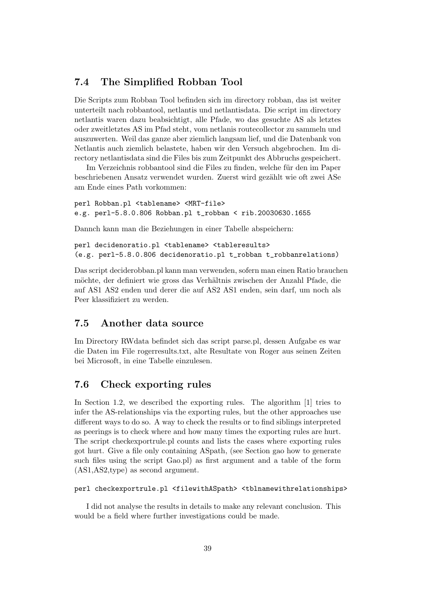### 7.4 The Simplified Robban Tool

Die Scripts zum Robban Tool befinden sich im directory robban, das ist weiter unterteilt nach robbantool, netlantis und netlantisdata. Die script im directory netlantis waren dazu beabsichtigt, alle Pfade, wo das gesuchte AS als letztes oder zweitletztes AS im Pfad steht, vom netlanis routecollector zu sammeln und auszuwerten. Weil das ganze aber ziemlich langsam lief, und die Datenbank von Netlantis auch ziemlich belastete, haben wir den Versuch abgebrochen. Im directory netlantisdata sind die Files bis zum Zeitpunkt des Abbruchs gespeichert.

Im Verzeichnis robbantool sind die Files zu finden, welche für den im Paper beschriebenen Ansatz verwendet wurden. Zuerst wird gezählt wie oft zwei ASe am Ende eines Path vorkommen:

perl Robban.pl <tablename> <MRT-file> e.g. perl-5.8.0.806 Robban.pl t\_robban < rib.20030630.1655

Dannch kann man die Beziehungen in einer Tabelle abspeichern:

```
perl decidenoratio.pl <tablename> <tableresults>
(e.g. perl-5.8.0.806 decidenoratio.pl t_robban t_robbanrelations)
```
Das script deciderobban.pl kann man verwenden, sofern man einen Ratio brauchen möchte, der definiert wie gross das Verhältnis zwischen der Anzahl Pfade, die auf AS1 AS2 enden und derer die auf AS2 AS1 enden, sein darf, um noch als Peer klassifiziert zu werden.

## 7.5 Another data source

Im Directory RWdata befindet sich das script parse.pl, dessen Aufgabe es war die Daten im File rogerresults.txt, alte Resultate von Roger aus seinen Zeiten bei Microsoft, in eine Tabelle einzulesen.

### 7.6 Check exporting rules

In Section 1.2, we described the exporting rules. The algorithm [1] tries to infer the AS-relationships via the exporting rules, but the other approaches use different ways to do so. A way to check the results or to find siblings interpreted as peerings is to check where and how many times the exporting rules are hurt. The script checkexportrule.pl counts and lists the cases where exporting rules got hurt. Give a file only containing ASpath, (see Section gao how to generate such files using the script Gao.pl) as first argument and a table of the form (AS1,AS2,type) as second argument.

```
perl checkexportrule.pl <filewithASpath> <tblnamewithrelationships>
```
I did not analyse the results in details to make any relevant conclusion. This would be a field where further investigations could be made.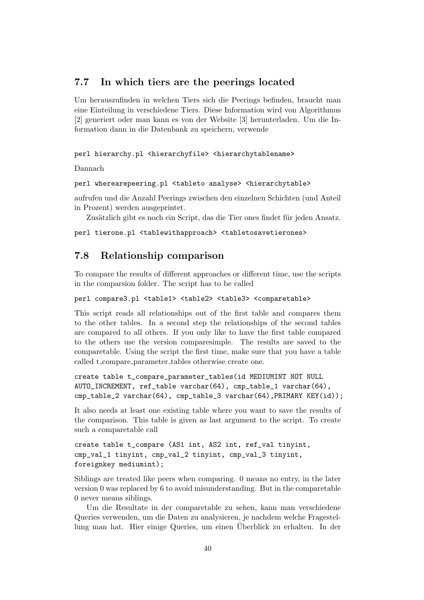## 7.7 In which tiers are the peerings located

Um herauszufinden in welchen Tiers sich die Peerings befinden, braucht man eine Einteilung in verschiedene Tiers. Diese Information wird von Algorithmus [2] generiert oder man kann es von der Website [3] herunterladen. Um die Information dann in die Datenbank zu speichern, verwende

perl hierarchy.pl <hierarchyfile> <hierarchytablename>

Dannach

#### perl wherearepeering.pl <tableto analyse> <hierarchytable>

aufrufen und die Anzahl Peerings zwischen den einzelnen Schichten (und Anteil in Prozent) werden ausgeprintet.

Zusätzlich gibt es noch ein Script, das die Tier ones findet für jeden Ansatz.

perl tierone.pl <tablewithapproach> <tabletosavetierones>

# 7.8 Relationship comparison

To compare the results of different approaches or different time, use the scripts in the comparsion folder. The script has to be called

```
perl compare3.pl <table1> <table2> <table3> <comparetable>
```
This script reads all relationships out of the first table and compares them to the other tables. In a second step the relationships of the second tables are compared to all others. If you only like to have the first table compared to the others use the version comparesimple. The results are saved to the comparetable. Using the script the first time, make sure that you have a table called t\_compare\_parameter\_tables otherwise create one.

```
create table t_compare_parameter_tables(id MEDIUMINT NOT NULL
AUTO_INCREMENT, ref_table varchar(64), cmp_table_1 varchar(64),
cmp_table_2 varchar(64), cmp_table_3 varchar(64),PRIMARY KEY(id));
```
It also needs at least one existing table where you want to save the results of the comparison. This table is given as last argument to the script. To create such a comparetable call

```
create table t_compare (AS1 int, AS2 int, ref_val tinyint,
cmp_val_1 tinyint, cmp_val_2 tinyint, cmp_val_3 tinyint,
foreignkey mediumint);
```
Siblings are treated like peers when comparing. 0 means no entry, in the later version 0 was replaced by 6 to avoid misunderstanding. But in the comparetable 0 never means siblings.

Um die Resultate in der comparetable zu sehen, kann man verschiedene Queries verwenden, um die Daten zu analysieren, je nachdem welche Fragestellung man hat. Hier einige Queries, um einen Überblick zu erhalten. In der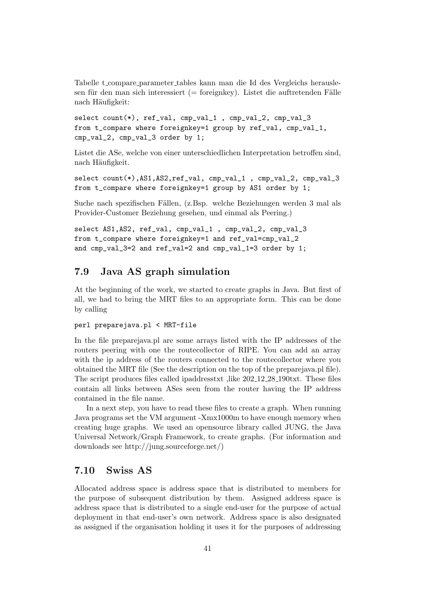Tabelle t compare parameter tables kann man die Id des Vergleichs herauslesen für den man sich interessiert (= foreignkey). Listet die auftretenden Fälle nach Häufigkeit:

select count(\*), ref\_val, cmp\_val\_1, cmp\_val\_2, cmp\_val\_3 from t\_compare where foreignkey=1 group by ref\_val, cmp\_val\_1, cmp\_val\_2, cmp\_val\_3 order by 1;

Listet die ASe, welche von einer unterschiedlichen Interpretation betroffen sind, nach Häufigkeit.

```
select count(*),AS1,AS2,ref_val, cmp_val_1 , cmp_val_2, cmp_val_3
from t_compare where foreignkey=1 group by AS1 order by 1;
```
Suche nach spezifischen Fällen, (z.Bsp. welche Beziehungen werden 3 mal als Provider-Customer Beziehung gesehen, und einmal als Peering.)

```
select AS1,AS2, ref_val, cmp_val_1 , cmp_val_2, cmp_val_3
from t_compare where foreignkey=1 and ref_val=cmp_val_2
and cmp_val_3=2 and ref_val=2 and cmp_val_1=3 order by 1;
```
### 7.9 Java AS graph simulation

At the beginning of the work, we started to create graphs in Java. But first of all, we had to bring the MRT files to an appropriate form. This can be done by calling

#### perl preparejava.pl < MRT-file

In the file preparejava.pl are some arrays listed with the IP addresses of the routers peering with one the routecollector of RIPE. You can add an array with the ip address of the routers connected to the routecollector where you obtained the MRT file (See the description on the top of the preparejava.pl file). The script produces files called ipaddresstxt ,like 202 12 28 190txt. These files contain all links between ASes seen from the router having the IP address contained in the file name.

In a next step, you have to read these files to create a graph. When running Java programs set the VM argument -Xmx1000m to have enough memory when creating huge graphs. We used an opensource library called JUNG, the Java Universal Network/Graph Framework, to create graphs. (For information and downloads see http://jung.sourceforge.net/)

# 7.10 Swiss AS

Allocated address space is address space that is distributed to members for the purpose of subsequent distribution by them. Assigned address space is address space that is distributed to a single end-user for the purpose of actual deployment in that end-user's own network. Address space is also designated as assigned if the organisation holding it uses it for the purposes of addressing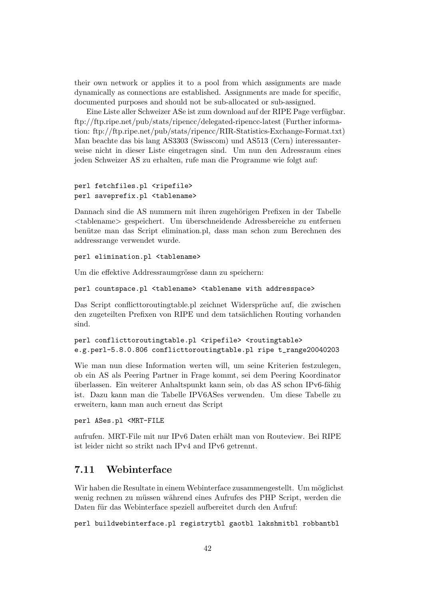their own network or applies it to a pool from which assignments are made dynamically as connections are established. Assignments are made for specific, documented purposes and should not be sub-allocated or sub-assigned.

Eine Liste aller Schweizer ASe ist zum download auf der RIPE Page verfügbar. ftp://ftp.ripe.net/pub/stats/ripencc/delegated-ripencc-latest (Further information: ftp://ftp.ripe.net/pub/stats/ripencc/RIR-Statistics-Exchange-Format.txt) Man beachte das bis lang AS3303 (Swisscom) und AS513 (Cern) interessanterweise nicht in dieser Liste eingetragen sind. Um nun den Adressraum eines jeden Schweizer AS zu erhalten, rufe man die Programme wie folgt auf:

```
perl fetchfiles.pl <ripefile>
perl saveprefix.pl <tablename>
```
Dannach sind die AS nummern mit ihren zugehörigen Prefixen in der Tabelle <tablename> gespeichert. Um ¨uberschneidende Adressbereiche zu entfernen benütze man das Script elimination.pl, dass man schon zum Berechnen des addressrange verwendet wurde.

perl elimination.pl <tablename>

Um die effektive Addressraumgrösse dann zu speichern:

```
perl countspace.pl <tablename> <tablename with addresspace>
```
Das Script conflicttoroutingtable.pl zeichnet Widersprüche auf, die zwischen den zugeteilten Prefixen von RIPE und dem tatsächlichen Routing vorhanden sind.

```
perl conflicttoroutingtable.pl <ripefile> <routingtable>
e.g.perl-5.8.0.806 conflicttoroutingtable.pl ripe t_range20040203
```
Wie man nun diese Information werten will, um seine Kriterien festzulegen, ob ein AS als Peering Partner in Frage kommt, sei dem Peering Koordinator überlassen. Ein weiterer Anhaltspunkt kann sein, ob das AS schon IPv6-fähig ist. Dazu kann man die Tabelle IPV6ASes verwenden. Um diese Tabelle zu erweitern, kann man auch erneut das Script

perl ASes.pl <MRT-FILE

aufrufen. MRT-File mit nur IPv6 Daten erhält man von Routeview. Bei RIPE ist leider nicht so strikt nach IPv4 and IPv6 getrennt.

# 7.11 Webinterface

Wir haben die Resultate in einem Webinterface zusammengestellt. Um möglichst wenig rechnen zu müssen während eines Aufrufes des PHP Script, werden die Daten für das Webinterface speziell aufbereitet durch den Aufruf:

perl buildwebinterface.pl registrytbl gaotbl lakshmitbl robbantbl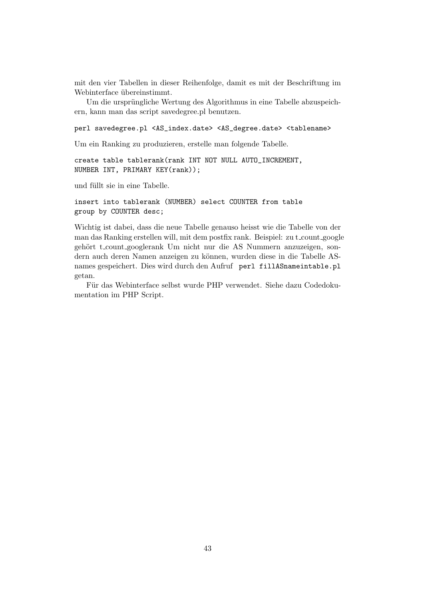mit den vier Tabellen in dieser Reihenfolge, damit es mit der Beschriftung im Webinterface übereinstimmt.

Um die ursprüngliche Wertung des Algorithmus in eine Tabelle abzuspeichern, kann man das script savedegree.pl benutzen.

perl savedegree.pl <AS\_index.date> <AS\_degree.date> <tablename>

Um ein Ranking zu produzieren, erstelle man folgende Tabelle.

create table tablerank(rank INT NOT NULL AUTO\_INCREMENT, NUMBER INT, PRIMARY KEY(rank));

und füllt sie in eine Tabelle.

```
insert into tablerank (NUMBER) select COUNTER from table
group by COUNTER desc;
```
Wichtig ist dabei, dass die neue Tabelle genauso heisst wie die Tabelle von der man das Ranking erstellen will, mit dem postfix rank. Beispiel: zu t\_count\_google gehört t count googlerank Um nicht nur die AS Nummern anzuzeigen, sondern auch deren Namen anzeigen zu können, wurden diese in die Tabelle ASnames gespeichert. Dies wird durch den Aufruf perl fillASnameintable.pl getan.

Für das Webinterface selbst wurde PHP verwendet. Siehe dazu Codedokumentation im PHP Script.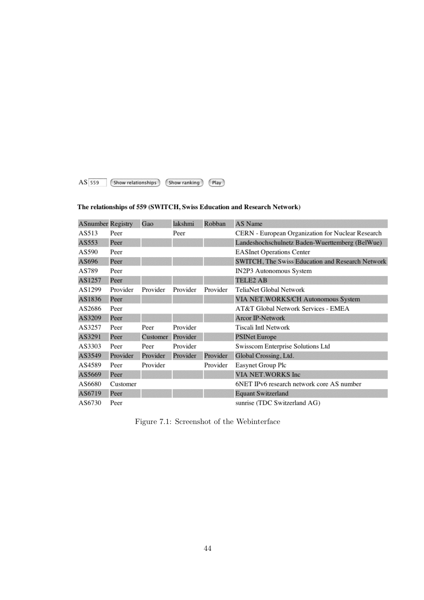$AS$  559 (Show relationships) (Show ranking) (Play)

### The relationships of 559 (SWITCH, Swiss Education and Research Network)

| <b>ASnumber Registry</b> |          | Gao      | lakshmi  | Robban   | AS Name                                                 |
|--------------------------|----------|----------|----------|----------|---------------------------------------------------------|
| AS513                    | Peer     |          | Peer     |          | CERN - European Organization for Nuclear Research       |
| AS553                    | Peer     |          |          |          | Landeshochschulnetz Baden-Wuerttemberg (BelWue)         |
| AS590                    | Peer     |          |          |          | <b>EASInet Operations Center</b>                        |
| AS696                    | Peer     |          |          |          | <b>SWITCH, The Swiss Education and Research Network</b> |
| AS789                    | Peer     |          |          |          | IN2P3 Autonomous System                                 |
| AS1257                   | Peer     |          |          |          | <b>TELE2 AB</b>                                         |
| AS1299                   | Provider | Provider | Provider | Provider | TeliaNet Global Network                                 |
| AS1836                   | Peer     |          |          |          | VIA NET.WORKS/CH Autonomous System                      |
| AS2686                   | Peer     |          |          |          | AT&T Global Network Services - EMEA                     |
| AS3209                   | Peer     |          |          |          | <b>Arcor IP-Network</b>                                 |
| AS3257                   | Peer     | Peer     | Provider |          | Tiscali Intl Network                                    |
| AS3291                   | Peer     | Customer | Provider |          | <b>PSINet Europe</b>                                    |
| AS3303                   | Peer     | Peer     | Provider |          | Swisscom Enterprise Solutions Ltd                       |
| AS3549                   | Provider | Provider | Provider | Provider | Global Crossing, Ltd.                                   |
| AS4589                   | Peer     | Provider |          | Provider | Easynet Group Plc                                       |
| AS5669                   | Peer     |          |          |          | VIA NET.WORKS Inc                                       |
| AS6680                   | Customer |          |          |          | 6NET IPv6 research network core AS number               |
| AS6719                   | Peer     |          |          |          | <b>Equant Switzerland</b>                               |
| AS6730                   | Peer     |          |          |          | sunrise (TDC Switzerland AG)                            |

Figure 7.1: Screenshot of the Webinterface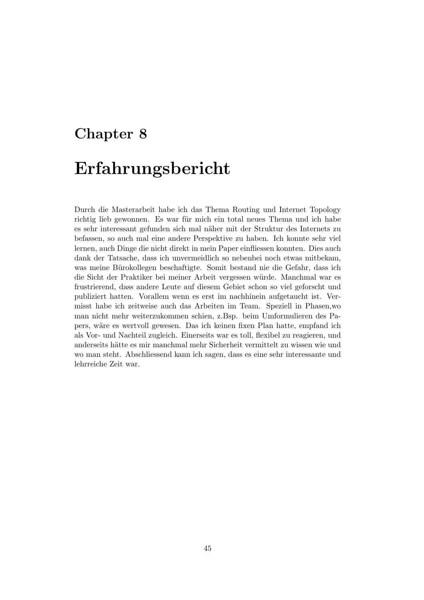# Chapter 8 Erfahrungsbericht

Durch die Masterarbeit habe ich das Thema Routing und Internet Topology richtig lieb gewonnen. Es war für mich ein total neues Thema und ich habe es sehr interessant gefunden sich mal näher mit der Struktur des Internets zu befassen, so auch mal eine andere Perspektive zu haben. Ich konnte sehr viel lernen, auch Dinge die nicht direkt in mein Paper einfliessen konnten. Dies auch dank der Tatsache, dass ich unvermeidlich so nebenbei noch etwas mitbekam, was meine Bürokollegen beschaftigte. Somit bestand nie die Gefahr, dass ich die Sicht der Praktiker bei meiner Arbeit vergessen würde. Manchmal war es frustrierend, dass andere Leute auf diesem Gebiet schon so viel geforscht und publiziert hatten. Vorallem wenn es erst im nachhinein aufgetaucht ist. Vermisst habe ich zeitweise auch das Arbeiten im Team. Speziell in Phasen,wo man nicht mehr weiterzukommen schien, z.Bsp. beim Umformulieren des Papers, w¨are es wertvoll gewesen. Das ich keinen fixen Plan hatte, empfand ich als Vor- und Nachteil zugleich. Einerseits war es toll, flexibel zu reagieren, und anderseits hätte es mir manchmal mehr Sicherheit vermittelt zu wissen wie und wo man steht. Abschliessend kann ich sagen, dass es eine sehr interessante und lehrreiche Zeit war.